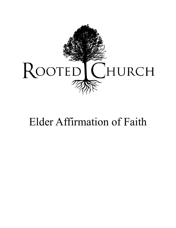

# Elder Affirmation of Faith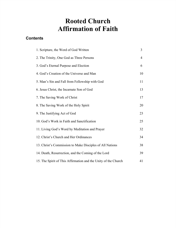# **Rooted Church Affirmation of Faith**

# **Contents**

| 1. Scripture, the Word of God Written                          | 3              |
|----------------------------------------------------------------|----------------|
| 2. The Trinity, One God as Three Persons                       | $\overline{4}$ |
| 3. God's Eternal Purpose and Election                          | 6              |
| 4. God's Creation of the Universe and Man                      | 10             |
| 5. Man's Sin and Fall from Fellowship with God                 | 11             |
| 6. Jesus Christ, the Incarnate Son of God                      | 13             |
| 7. The Saving Work of Christ                                   | 17             |
| 8. The Saving Work of the Holy Spirit                          | 20             |
| 9. The Justifying Act of God                                   | 23             |
| 10. God's Work in Faith and Sanctification                     | 25             |
| 11. Living God's Word by Meditation and Prayer                 | 32             |
| 12. Christ's Church and Her Ordinances                         | 34             |
| 13. Christ's Commission to Make Disciples of All Nations       | 38             |
| 14. Death, Resurrection, and the Coming of the Lord            | 39             |
| 15. The Spirit of This Affirmation and the Unity of the Church | 41             |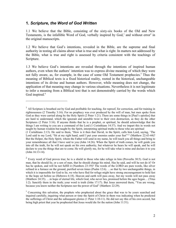#### **1.** *Scripture, the Word of God Written*

 $\overline{a}$ 

1.1 We believe that the Bible, consisting of the sixty-six books of the Old and New Testaments, is the infallible Word of God, verbally inspired by God, $<sup>1</sup>$  and without error<sup>2</sup> in</sup> the original manuscripts.

1.2 We believe that God's intentions, revealed in the Bible, are the supreme and final authority in testing all claims about what is true and what is right. In matters not addressed by the Bible, what is true and right is assessed by criteria consistent with the teachings of Scripture.

1.3 We believe God's intentions are revealed through the intentions of inspired human authors, even when the authors' intention was to express divine meaning of which they were not fully aware, as, for example, in the case of some Old Testament prophecies.<sup>3</sup> Thus the meaning of Biblical texts is a fixed historical reality, rooted in the historical, unchangeable intentions of its divine and human authors. However, while meaning does not change, the application of that meaning may change in various situations. Nevertheless it is not legitimate to infer a meaning from a Biblical text that is not demonstrably carried by the words which God inspired.<sup>4</sup>

 $<sup>1</sup>$  All Scripture is breathed out by God and profitable for teaching, for reproof, for correction, and for training in</sup> righteousness (2 Timothy 3:16). For no prophecy was ever produced by the will of man, but men spoke from God as they were carried along by the Holy Spirit (2 Peter 1:21). There are some things in [Paul's epistles] that are hard to understand, which the ignorant and unstable twist to their own destruction, as they do the other Scriptures (2 Peter 3:16). If anyone thinks that he is a prophet, or spiritual, he should acknowledge that the things I am writing to you are a command of the Lord (1 Corinthians 14:37). And we impart this in words not taught by human wisdom but taught by the Spirit, interpreting spiritual truths to those who are spiritual (1 Corinthians 2:13). He said to them, "How is it then that David, in the Spirit, calls him Lord, saying, 'The

Lord said to my Lord, "Sit at my right hand, until I put your enemies under your feet"" (Matthew 22:43-44)? But the Helper, the Holy Spirit, whom the Father will send in my name, he will teach you all things and bring to your remembrance all that I have said to you (John 14:26). When the Spirit of truth comes, he will guide you into all the truth, for he will not speak on his own authority, but whatever he hears he will speak, and he will declare to you the things that are to come. He will glorify me, for he will take what is mine and declare it to you (John 16:13-14).

 $2$  Every word of God proves true; he is a shield to those who take refuge in him (Proverbs 30:5). God is not man, that he should lie, or a son of man, that he should change his mind. Has he said, and will he not do it? Or has he spoken, and will he not fulfill it (Numbers 23:19)? The words of the LORD are pure words, like silver refined in a furnace on the ground, purified seven times (Psalm 12:6). …so that by two unchangeable things, in which it is impossible for God to lie, we who have fled for refuge might have strong encouragement to hold fast to the hope set before us (Hebrews 6:18). Heaven and earth will pass away, but my words will not pass away (Matthew 24:35). …in hope of eternal life, which God, who never lies, promised before the ages began… (Titus 1:2). Sanctify them in the truth; your word is truth (John 17:17). But Jesus answered them, "You are wrong, because you know neither the Scriptures nor the power of God" (Matthew 22:29).

<sup>&</sup>lt;sup>3</sup> Concerning this salvation, the prophets who prophesied about the grace that was to be yours searched and inquired carefully, inquiring what person or time the Spirit of Christ in them was indicating when he predicted the sufferings of Christ and the subsequent glories (1 Peter 1:10-11). He did not say this of his own accord, but being high priest that year he prophesied that Jesus would die for the nation (John 11:51).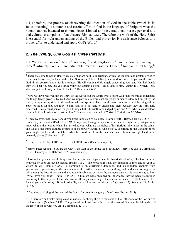1.4 Therefore, the process of discovering the intention of God in the Bible (which is its fullest meaning) is a humble and careful effort to find in the language of Scripture what the human authors intended to communicate. Limited abilities, traditional biases, personal sin, and cultural assumptions often obscure Biblical texts. Therefore the work of the Holy Spirit is essential for right understanding of the Bible,<sup>5</sup> and prayer for His assistance belongs to a proper effort to understand and apply God's Word.<sup>6</sup>

### **2.** *The Trinity, One God as Three Persons*

2.1 We believe in one<sup>7</sup> living,<sup>8</sup> sovereign,<sup>9</sup> and all-glorious<sup>10</sup> God, eternally existing in three<sup>11</sup> infinitely excellent and admirable Persons: God the Father,<sup>12</sup> fountain of all being;<sup>13</sup>

<sup>5</sup> Now we have received not the spirit of the world, but the Spirit who is from God, that we might understand the things freely given us by God. And we impart this in words not taught by human wisdom but taught by the Spirit, interpreting spiritual truths to those who are spiritual. The natural person does not accept the things of the Spirit of God, for they are folly to him, and he is not able to understand them because they are spiritually discerned. The spiritual person judges all things, but is himself to be judged by no one. "For who has understood the mind of the Lord so as to instruct him?" But we have the mind of Christ (1 Corinthians 2:12-16).

<sup>6</sup> Open my eyes, that I may behold wondrous things out of your law (Psalm 119:18). Blessed are you, O LORD; teach me your statutes (Psalm 119:12)! [I pray that] having the eyes of your hearts enlightened, that you may know what is the hope to which he has called you, what are the riches of his glorious inheritance in the saints, and what is the immeasurable greatness of his power toward us who believe, according to the working of his great might that he worked in Christ when he raised him from the dead and seated him at his right hand in the heavenly places (Ephesians 1:18).

<sup>7</sup> Hear, O Israel: The LORD our God, the LORD is one (Deuteronomy 6:4).

<sup>8</sup> Simon Peter replied, "You are the Christ, the Son of the living God" (Matthew 16:16; see also 2 Corinthians 6:16; 1 Timothy 4:10; Hebrews 3:12; Revelation 7:2).

<sup>9</sup> I know that you can do all things, and that no purpose of yours can be thwarted (Job 42:2). Our God is in the heavens; he does all that he pleases (Psalm 115:3). The Most High rules the kingdom of men and gives it to whom he will (Daniel 4:25). His dominion is an everlasting dominion, and his kingdom endures from generation to generation; all the inhabitants of the earth are accounted as nothing, and he does according to his will among the host of heaven and among the inhabitants of the earth; and none can stay his hand or say to him, "What have you done" (Daniel 4:34-35)? In him we have obtained an inheritance, having been predestined according to the purpose of him who works all things according to the counsel of his will… (Ephesians 1:11). Instead you ought to say, "If the Lord wills, we will live and do this or that" (James 4:15). See notes 29, 31-36, 45, 46.

 $10$  And they shall sing of the ways of the LORD, for great is the glory of the LORD (Psalm 138:5).

<sup>11</sup> Go therefore and make disciples of all nations, baptizing them in the name of the Father and of the Son and of the Holy Spirit (Matthew 28:19). The grace of the Lord Jesus Christ and the love of God and the fellowship of the Holy Spirit be with you all (2 Corinthians 13:14).

 $\frac{1}{4}$ <sup>4</sup> There are some things in [Paul's epistles] that are hard to understand, which the ignorant and unstable twist to their own destruction, as they do the other Scriptures (2 Peter 3:16). [Satan said to Jesus], "If you are the Son of God, throw yourself down, for it is written, 'He will command his angels concerning you,' and 'On their hands they will bear you up, lest you strike your foot against a stone.'" Jesus said to him, "Again it is written, 'You shall not put the Lord your God to the test'" (Matthew 4:6-7).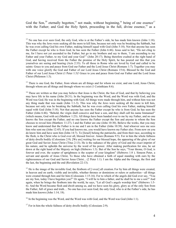God the Son,<sup>14</sup> eternally begotten,<sup>15</sup> not made, without beginning,<sup>16</sup> being of one essence<sup>17</sup> with the Father; and God the Holy Spirit, proceeding in the full, divine essence,<sup>18</sup> as a

1

<sup>13</sup> There is one God, the Father, from whom are all things and for whom we exist, and one Lord, Jesus Christ, through whom are all things and through whom we exist (1 Corinthians 8:6).

 $14$  These are written so that you may believe that Jesus is the Christ, the Son of God, and that by believing you may have life in his name (John 20:31). In the beginning was the Word, and the Word was with God, and the Word was God. He was in the beginning with God. All things were made through him, and without him was not any thing made that was made  $(John 1:1-3)$ . This was why the Jews were seeking all the more to kill him, because not only was he breaking the Sabbath, but he was even calling God his own Father, making himself equal with God (John 5:18). Not that anyone has seen the Father except he who is from God; he has seen the Father (John 6:46). "Behold, the virgin shall conceive and bear a son, and they shall call his name Immanuel" (which means, God with us) (Matthew 1:23). All things have been handed over to me by my Father, and no one knows the Son except the Father, and no one knows the Father except the Son and anyone to whom the Son chooses to reveal him (Matthew 11:27). I and the Father are one (John 10:30). Believe the works, that you may know and understand that the Father is in me and I am in the Father (John 10:38). And whoever sees me sees him who sent me (John 12:45). If you had known me, you would have known my Father also. From now on you do know him and have seen him (John 14:7). To [Israel] belong the patriarchs, and from their race, according to the flesh, is the Christ who is God over all, blessed forever. Amen (Romans 9:5). For in him the whole fullness of deity dwells bodily (Colossians 2:9). [We are] waiting for our blessed hope, the appearing of the glory of our great God and Savior Jesus Christ (Titus 2:13). He is the radiance of the glory of God and the exact imprint of his nature, and he upholds the universe by the word of his power. After making purification for sins, he sat down at the right hand of the Majesty on high (Hebrews 1:3). But of the Son he says, "Your throne, O God, is forever and ever, the scepter of uprightness is the scepter of your kingdom" (Hebrews 1:8 ). Simeon Peter, a servant and apostle of Jesus Christ, To those who have obtained a faith of equal standing with ours by the righteousness of our God and Savior Jesus Christ... (2 Peter 1:1). I am the Alpha and the Omega, the first and the last, the beginning and the end (Revelation 22:13).

<sup>15</sup> He is the image of the invisible God, the firstborn of  $[=over]$  all creation. For by him all things were created, in heaven and on earth, visible and invisible, whether thrones or dominions or rulers or authorities—all things were created through him and for him (Colossians 1:15-16). For to which of the angels did God ever say, "You are my Son, today I have begotten you?" Or again, "I will be to him a father, and he shall be to me a son?" And again, when he brings the firstborn into the world, he says, "Let all God's angels worship him" (Hebrews 1:5- 6). And the Word became flesh and dwelt among us, and we have seen his glory, glory as of the only Son from the Father, full of grace and truth… No one has ever seen God; the only God, who is at the Father's side, he has made him known (John 1:14, 18).

<sup>16</sup> In the beginning was the Word, and the Word was with God, and the Word was God (John 1:1).

 $17$  For in him the whole fullness of deity dwells bodily (Colossians 2:9).

 $12$  No one has ever seen God; the only God, who is at the Father's side, he has made him known (John 1:18). This was why the Jews were seeking all the more to kill him, because not only was he breaking the Sabbath, but he was even calling God his own Father, making himself equal with God (John 5:18). Not that anyone has seen the Father except he who is from God; he has seen the Father (John 6:46). Jesus said to her, "Do not cling to me, for I have not yet ascended to the Father; but go to my brothers and say to them, 'I am ascending to my Father and your Father, to my God and your God'" (John 20:17). Being therefore exalted at the right hand of God, and having received from the Father the promise of the Holy Spirit, he has poured out this that you yourselves are seeing and hearing (Acts 2:33). To all those in Rome who are loved by God and called to be saints: Grace to you and peace from God our Father and the Lord Jesus Christ (Romans 1:7). Together you may with one voice glorify the God and Father of our Lord Jesus Christ (Romans 15:6). Blessed be the God and Father of our Lord Jesus Christ (1 Peter 1:3)! Grace to you and peace from God our Father and the Lord Jesus Christ (Philemon 1:3).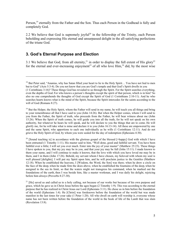Person,<sup>19</sup> eternally from the Father and the Son. Thus each Person in the Godhead is fully and completely God.

2.2 We believe that God is supremely joyful<sup>20</sup> in the fellowship of the Trinity, each Person beholding and expressing His eternal and unsurpassed delight in the all-satisfying perfections of the triune God.

# **3. God's Eternal Purpose and Election**

 $\overline{a}$ 

3.1 We believe that God, from all eternity,<sup>21</sup> in order to display the full extent of His glory<sup>22</sup> for the eternal and ever-increasing enjoyment<sup>23</sup> of all who love  $\lim_{n \to \infty} 24$  did, by the most wise

<sup>&</sup>lt;sup>18</sup> But Peter said, "Ananias, why has Satan filled your heart to lie to the Holy Spirit... You have not lied to men but to God" (Acts 5:3-4). Do you not know that you are God's temple and that God's Spirit dwells in you (1 Corinthians 3:16)? These things God has revealed to us through the Spirit. For the Spirit searches everything, even the depths of God. For who knows a person's thoughts except the spirit of that person, which is in him? So also no one comprehends the thoughts of God except the Spirit of God (1 Corinthians 2:10-11). And he who searches hearts knows what is the mind of the Spirit, because the Spirit intercedes for the saints according to the will of God (Romans 8:27).

<sup>&</sup>lt;sup>19</sup> But the Helper, the Holy Spirit, whom the Father will send in my name, he will teach you all things and bring to your remembrance all that I have said to you (John 14:26). But when the Helper comes, whom I will send to you from the Father, the Spirit of truth, who proceeds from the Father, he will bear witness about me (John 15:26). When the Spirit of truth comes, he will guide you into all the truth, for he will not speak on his own authority, but whatever he hears he will speak, and he will declare to you the things that are to come. He will glorify me, for he will take what is mine and declare it to you (John 16:13-14). All these are empowered by one and the same Spirit, who apportions to each one individually as he wills (1 Corinthians 12:11). And do not grieve the Holy Spirit of God, by whom you were sealed for the day of redemption (Ephesians 4:30).

<sup>&</sup>lt;sup>20</sup> [Sound teaching is] in accordance with the glorious gospel of the blessed [=happy] God with which I have been entrusted (1 Timothy 1:11). His master said to him, "Well done, good and faithful servant. You have been faithful over a little; I will set you over much. Enter into the joy of your master" (Matthew 25:23). These things I have spoken to you, that my joy may be in you, and that your joy may be full (John 15:11). I made known to them your name, and I will continue to make it known, that the love with which you have loved me may be in them, and I in them (John 17:26). Behold, my servant whom I have chosen, my beloved with whom my soul is well pleased [delights]. I will put my Spirit upon him, and he will proclaim justice to the Gentiles (Matthew 12:18). When he established the heavens, I [Wisdom, the Word, the Son] was there; when he drew a circle on the face of the deep, when he made firm the skies above, when he established the fountains of the deep, when he assigned to the sea its limit, so that the waters might not transgress his command, when he marked out the foundations of the earth, then I was beside him, like a master workman, and I was daily his delight, rejoicing before him always (Proverbs 8:27-30).

 $21$  [He] saved us and called us to a holy calling, not because of our works but because of his own purpose and grace, which he gave us in Christ Jesus before the ages began (2 Timothy 1:9). This was according to the eternal purpose that he has realized in Christ Jesus our Lord (Ephesians 3:11). He chose us in him before the foundation of the world (Ephesians 1:4). He [Christ] was foreknown before the foundation of the world but was made manifest in the last times for your sake (1 Peter 1:20). All who dwell on earth will worship it, everyone whose name has not been written before the foundation of the world in the book of life of the Lamb that was slain (Revelation 13:8).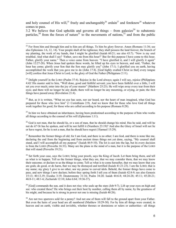and holy counsel of His will,<sup>25</sup> freely and unchangeably<sup>26</sup> ordain<sup>27</sup> and foreknow<sup>28</sup> whatever comes to pass.

3.2 We believe that God upholds and governs all things – from galaxies<sup>29</sup> to subatomic particles,<sup>30</sup> from the forces of nature<sup>31</sup> to the movements of nations,<sup>32</sup> and from the public

<sup>23</sup> Delight yourself in the LORD (Psalm 37:4). Rejoice in the Lord always; again I will say, rejoice (Philippians 4:4)! His master said to him, "Well done, good and faithful servant; you have been faithful over a little, I will set you over much; enter into the joy of your master" (Matthew 25:23). He will wipe away every tear from their eyes; and there will no longer be any death; there will no longer be any mourning, or crying, or pain; the first things have passed away (Revelation 21:4).

 $24$  But, as it is written, "What no eye has seen, nor ear heard, nor the heart of man imagined, what God has prepared for those who love him" (1 Corinthians 2:9). And we know that for those who love God all things work together for good, for those who are called according to his purpose (Romans 8:28).

 $^{25}$  In him we have obtained an inheritance, having been predestined according to the purpose of him who works all things according to the counsel of his will (Ephesians 1:11).

 $26$  God is not man, that he should lie, or a son of man, that he should change his mind. Has he said, and will he not do it? Or has he spoken, and will he not fulfill it (Numbers 23:19)? And also the Glory of Israel will not lie or have regret, for he is not a man, that he should have regret (1Samuel 15:29).

<sup>27</sup> Remember the former things of old; for I am God, and there is no other; I am God, and there is none like me, declaring the end from the beginning and from ancient times things not yet done, saying, "My counsel shall stand, and I will accomplish all my purpose" (Isaiah 46:9-10). The lot is cast into the lap, but its every decision is from the LORD (Proverbs 16:33). Many are the plans in the mind of a man, but it is the purpose of the LORD that will stand (Proverbs 19:21).

<sup>28</sup> Set forth your case, says the LORD; bring your proofs, says the King of Jacob. Let them bring them, and tell us what is to happen. Tell us the former things, what they are, that we may consider them, that we may know their outcome; or declare to us the things to come. Tell us what is to come hereafter, that we may know that you are gods; do good, or do harm, that we may be dismayed and terrified (Isaiah 41:21-23). I am the LORD; that is my name; my glory I give to no other, nor my praise to carved idols. Behold, the former things have come to pass, and new things I now declare; before they spring forth I tell you of them (Isaiah 42:8-9; see also Genesis 15:13; 40:13,19; Exodus 3:19; Deuteronomy 31:16; Psalm 34:20; Isaiah 44:6-8; 44:24-28; 45:11; 45:20-21; 46:8-11; 48:1-6; Zechariah 12:10; John 6:64; 19:36-37).

<sup>29</sup> [God] commands the sun, and it does not rise; who seals up the stars (Job 9:7). Lift up your eyes on high and see: who created these? He who brings out their host by number, calling them all by name, by the greatness of his might, and because he is strong in power not one is missing (Isaiah 40:26).

<sup>30</sup> Are not two sparrows sold for a penny? And not one of them will fall to the ground apart from your Father. But even the hairs of your head are all numbered (Matthew 10:29-30). For by him all things were created, in heaven and on earth, visible and invisible, whether thrones or dominions or rulers or authorities—all things

 $^{22}$  For from him and through him and to him are all things. To him be glory forever. Amen (Romans 11:36; see also Ephesians 1:6, 12, 14). Your people shall all be righteous; they shall possess the land forever, the branch of my planting, the work of my hands, that I might be glorified (Isaiah 60:21; see also 43:7). "Now is my soul troubled. And what shall I say? 'Father, save me from this hour?' But for this purpose I have come to this hour. Father, glorify your name." Then a voice came from heaven: "I have glorified it, and I will glorify it again" (John 12:27-28). When Jesus had spoken these words, he lifted up his eyes to heaven, and said, "Father, the hour has come; glorify your Son that the Son may glorify you" (John 17:1). I glorified you on earth, having accomplished the work that you gave me to do (John 17:4). [God highly exalted Christ so that] every tongue [will] confess that Jesus Christ is Lord, to the glory of God the Father (Philippians 2:11).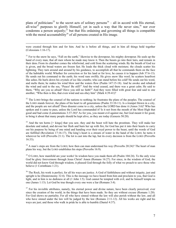plans of politicians<sup>33</sup> to the secret acts of solitary persons<sup>34</sup> – all in accord with His eternal, all-wise<sup>35</sup> purposes to glorify Himself, yet in such a way that He never sins,<sup>36</sup> nor ever condemns a person unjustly; $37$  but that His ordaining and governing all things is compatible with the moral accountability<sup>38</sup> of all persons created in His image.

 were created through him and for him. And he is before all things, and in him all things hold together (Colossians 1:16-17).

 $31$  For to the snow he says, "Fall on the earth," likewise to the downpour, his mighty downpour. He seals up the hand of every man, that all men whom he made may know it. Then the beasts go into their lairs, and remain in their dens. From its chamber comes the whirlwind, and cold from the scattering winds. By the breath of God ice is given, and the broad waters are frozen fast. He loads the thick cloud with moisture; the clouds scatter his lightning. They turn around and around by his guidance, to accomplish all that he commands them on the face of the habitable world. Whether for correction or for his land or for love, he causes it to happen (Job 37:6-13). He sends out his command to the earth; his word runs swiftly. He gives snow like wool; he scatters hoarfrost like ashes. He hurls down his crystals of ice like crumbs; who can stand before his cold? He sends out his word, and melts them; he makes his wind blow and the waters flow (Psalm 147:15-18). And he awoke and rebuked the wind and said to the sea, "Peace! Be still!" And the wind ceased, and there was a great calm. He said to them, "Why are you so afraid? Have you still no faith?" And they were filled with great fear and said to one another, "Who then is this, that even wind and sea obey him" (Mark 4:39-41)?

 $32$  The LORD brings the counsel of the nations to nothing; he frustrates the plans of the peoples. The counsel of the LORD stands forever, the plans of his heart to all generations (Psalm 33:10-11). Is a trumpet blown in a city, and the people are not afraid? Does disaster come to a city, unless the LORD has done it (Amos 3:6)? Who has spoken and it came to pass, unless the Lord has commanded it? Is it not from the mouth of the Most High that good and bad come (Lamentations 3:37-38)? As for you, you meant evil against me, but God meant it for good, to bring it about that many people should be kept alive, as they are today (Genesis 50:20).

 $33$  And the ten horns  $[=$  kings] that you saw, they and the beast will hate the prostitute. They will make her desolate and naked, and devour her flesh and burn her up with fire, for God has put it into their hearts to carry out his purpose by being of one mind and handing over their royal power to the beast, until the words of God are fulfilled (Revelation 17:16-17). The king's heart is a stream of water in the hand of the LORD; he turns it wherever he will (Proverbs 21:1). The lot is cast into the lap, but its every decision is from the LORD (Proverbs 16:33).

 $34$  A man's steps are from the LORD; how then can man understand his way (Proverbs 20:24)? The heart of man plans his way, but the LORD establishes his steps (Proverbs 16:9).

 $35$  O LORD, how manifold are your works! In wisdom have you made them all (Psalm 104:24). To the only wise God be glory forevermore through Jesus Christ! Amen (Romans 16:27). For since, in the wisdom of God, the world did not know God through wisdom, it pleased God through the folly of what we preach to save those who believe (1 Corinthians 1:21).

 $36$  The Rock, his work is perfect, for all his ways are justice. A God of faithfulness and without iniquity, just and upright is he (Deuteronomy 32:4). This is the message we have heard from him and proclaim to you, that God is light, and in him is no darkness at all (1 John 1:5). God cannot be tempted with evil, and he himself tempts no one (James 1:13). Let God be true though every one were a liar (Romans 3:4).

 $37$  For his invisible attributes, namely, his eternal power and divine nature, have been clearly perceived, ever since the creation of the world, in the things that have been made. So they are without excuse (Romans 1:20). For God shows no partiality. For all who have sinned without the law will also perish without the law, and all who have sinned under the law will be judged by the law (Romans 2:11-12). All his works are right and his ways are just; and those who walk in pride he is able to humble (Daniel 4:37).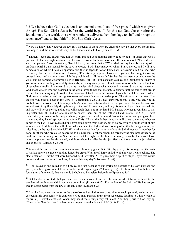3.3 We believe that God's election is an unconditional<sup>39</sup> act of free grace<sup>40</sup> which was given through His Son Christ Jesus before the world began.<sup>41</sup> By this act God chose, before the foundation of the world, those who would be delivered from bondage to  $\sin^{42}$  and brought to repentance<sup>43</sup> and saving faith<sup>44</sup> in His Son Christ Jesus.

<sup>38</sup> Now we know that whatever the law says it speaks to those who are under the law, so that every mouth may be stopped, and the whole world may be held accountable to God (Romans 3:19).

<sup>39</sup> Though [Jacob and Esau] were not yet born and had done nothing either good or bad—in order that God's purpose of election might continue, not because of works but because of his call—she was told, "The older will serve the younger." As it is written, "Jacob I loved, but Esau I hated." What shall we say then? Is there injustice on God's part? By no means! For he says to Moses, "I will have mercy on whom I have mercy, and I will have compassion on whom I have compassion." So then it depends not on human will or exertion, but on God, who has mercy. For the Scripture says to Pharaoh, "For this very purpose I have raised you up, that I might show my power in you, and that my name might be proclaimed in all the earth." So then he has mercy on whomever he wills, and he hardens whomever he wills (Romans 9:11-18). For consider your calling, brothers: not many of you were wise according to worldly standards, not many were powerful, not many were of noble birth. But God chose what is foolish in the world to shame the wise; God chose what is weak in the world to shame the strong; God chose what is low and despised in the world, even things that are not, to bring to nothing things that are, so that no human being might boast in the presence of God. He is the source of your life in Christ Jesus, whom God made our wisdom and our righteousness and sanctification and redemption. Therefore, as it is written, "Let the one who boasts, boast in the Lord" (1 Corinthians 1:26-31). Jesus answered them, "I told you, and you do not believe. The works that I do in my Father's name bear witness about me, but you do not believe because you are not part of my flock. My sheep hear my voice, and I know them, and they follow me.I give them eternal life, and they will never perish, and no one will snatch them out of my hand. My Father, who has given them to me, is greater than all, and no one is able to snatch them out of the Father's hand" (John 10:25-29). I have manifested your name to the people whom you gave me out of the world. Yours they were, and you gave them to me, and they have kept your word (John 17:6). All that the Father gives me will come to me, and whoever comes to me I will never cast out. For I have come down from heaven, not to do my own will but the will of him who sent me. And this is the will of him who sent me, that I should lose nothing of all that he has given me, but raise it up on the last day (John 6:37-39). And we know that for those who love God all things work together for good, for those who are called according to his purpose. For those whom he foreknew he also predestined to be conformed to the image of his Son, in order that he might be the firstborn among many brothers. And those whom he predestined he also called, and those whom he called he also justified, and those whom he justified he also glorified (Romans 8:28-30).

 $40$  So too at the present time there is a remnant, chosen by grace. But if it is by grace, it is no longer on the basis of works; otherwise grace would no longer be grace. What then? Israel failed to obtain what it was seeking. The elect obtained it, but the rest were hardened, as it is written, "God gave them a spirit of stupor, eyes that would not see and ears that would not hear, down to this very day" (Romans 11:5-8).

<sup>41</sup> [God] saved us and called us to a holy calling, not because of our works but because of his own purpose and grace, which he gave us in Christ Jesus before the ages began (2 Timothy 1:9). He chose us in him before the foundation of the world, that we should be holy and blameless before him (Ephesians 1:4).

 $42$  But thanks be to God, that you who were once slaves of sin have become obedient from the heart to the standard of teaching to which you were committed (Romans 6:17). For the law of the Spirit of life has set you free in Christ Jesus from the law of sin and death (Romans 8:2).

 $^{43}$  And the Lord's servant must not be quarrelsome but kind to everyone, able to teach, patiently enduring evil, correcting his opponents with gentleness. God may perhaps grant them repentance leading to a knowledge of the truth (2 Timothy 2:24-25). When they heard these things they fell silent. And they glorified God, saying, "Then to the Gentiles also God has granted repentance that leads to life" (Acts 11:18).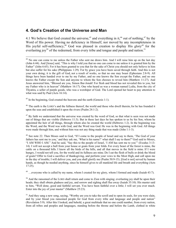#### **4. God's Creation of the Universe and Man**

4.1 We believe that God created the universe,<sup>45</sup> and everything in it,<sup>46</sup> out of nothing,<sup>47</sup> by the Word of His power. Having no deficiency in Himself, nor moved by any incompleteness in His joyful self-sufficiency, $48$  God was pleased in creation to display His glory $49$  for the everlasting joy<sup>50</sup> of the redeemed, from every tribe and tongue and people and nation.<sup>51</sup>

<sup>45</sup> In the beginning, God created the heavens and the earth (Genesis 1:1).

<sup>46</sup> The earth is the LORD's and the fullness thereof, the world and those who dwell therein, for he has founded it upon the seas and established it upon the rivers (Psalm 24:1-2).

 $47$  By faith we understand that the universe was created by the word of God, so that what is seen was not made out of things that are visible (Hebrews 11:3). But in these last days he has spoken to us by his Son, whom he appointed the heir of all things, through whom also he created the world (Hebrews 1:2). In the beginning was the Word, and the Word was with God, and the Word was God. He was in the beginning with God. All things were made through him, and without him was not any thing made that was made (John 1:1-3).

<sup>48</sup> See note 22. Then Moses said to God, "If I come to the people of Israel and say to them, 'The God of your fathers has sent me to you,' and they ask me, 'What is his name?' what shall I say to them?" God said to Moses, "I AM WHO I AM." And he said, "Say this to the people of Israel, 'I AM has sent me to you'" (Exodus 3:13- 14). I will not accept a bull from your house or goats from your folds. For every beast of the forest is mine, the cattle on a thousand hills. I know all the birds of the hills, and all that moves in the field is mine. If I were hungry, I would not tell you, for the world and its fullness are mine. Do I eat the flesh of bulls or drink the blood of goats? Offer to God a sacrifice of thanksgiving, and perform your vows to the Most High, and call upon me in the day of trouble; I will deliver you, and you shall glorify me (Psalm 50:9-15). [God is not] served by human hands, as though he needed anything, since he himself gives to all mankind life and breath and everything (Acts 17:25).

<sup>49</sup> ...everyone who is called by my name, whom I created for my glory, whom I formed and made (Isaiah 43:7).

<sup>50</sup> And the ransomed of the LORD shall return and come to Zion with singing; everlasting joy shall be upon their heads; they shall obtain gladness and joy, and sorrow and sighing shall flee away (Isaiah 35:10). His master said to him, "Well done, good and faithful servant. You have been faithful over a little; I will set you over much. Enter into the joy of your master" (Matthew 25:23).

<sup>51</sup> And they sang a new song, saying, "Worthy are you to take the scroll and to open its seals, for you were slain, and by your blood you ransomed people for God from every tribe and language and people and nation" (Revelation 5:9). After this I looked, and behold, a great multitude that no one could number, from every nation, from all tribes and peoples and languages, standing before the throne and before the Lamb, clothed in white

<sup>&</sup>lt;sup>44</sup> No one can come to me unless the Father who sent me draws him. And I will raise him up on the last day (John 6:44). And [Jesus] said, "This is why I told you that no one can come to me unless it is granted him by the Father" (John 6:65). For it has been granted to you that for the sake of Christ you should not only believe in him but also suffer for his sake (Philippians 1:29). For by grace you have been saved through faith. And this is not your own doing; it is the gift of God, not a result of works, so that no one may boast (Ephesians 2:8-9). All things have been handed over to me by my Father, and no one knows the Son except the Father, and no one knows the Father except the Son and anyone to whom the Son chooses to reveal him (Matthew 11:27). And Jesus answered him, "Blessed are you, Simon Bar-Jonah! For flesh and blood has not revealed this to you, but my Father who is in heaven" (Matthew 16:17). One who heard us was a woman named Lydia, from the city of Thyatira, a seller of purple goods, who was a worshiper of God. The Lord opened her heart to pay attention to what was said by Paul (Acts 16:14).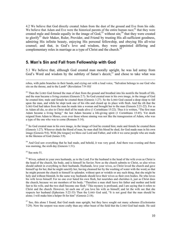4.2 We believe that God directly created Adam from the dust of the ground and Eve from his side. We believe that Adam and Eve were the historical parents of the entire human race; $52$  that they were created male and female equally in the image of  $God<sub>53</sub><sup>53</sup>$  without sin;<sup>54</sup> that they were created to glorify<sup>55</sup> their Maker, Ruler, Provider, and Friend by trusting His all-sufficient goodness, admiring His infinite beauty, enjoying His personal fellowship, and obeying His all-wise counsel; and that, in God's love and wisdom, they were appointed differing and complementary roles in marriage as a type of Christ and the church.<sup>56</sup>

#### **5. Man's Sin and Fall from Fellowship with God**

5.1 We believe that, although God created man morally upright, he was led astray from God's Word and wisdom by the subtlety of Satan's deceit,  $57$  and chose to take what was

<sup>53</sup> So God created man in his own image, in the image of God he created him; male and female he created them (Genesis 1:27). Whoever sheds the blood of man, by man shall his blood be shed, for God made man in his own image (Genesis 9:6). With [the tongue] we bless our Lord and Father, and with it we curse people who are made in the likeness of God (James 3:9).

<sup>54</sup> And God saw everything that he had made, and behold, it was very good. And there was evening and there was morning, the sixth day (Genesis 1:31).

 $55$  See note 51.

<sup>56</sup> Wives, submit to your own husbands, as to the Lord. For the husband is the head of the wife even as Christ is the head of the church, his body, and is himself its Savior. Now as the church submits to Christ, so also wives should submit in everything to their husbands. Husbands, love your wives, as Christ loved the church and gave himself up for her, that he might sanctify her, having cleansed her by the washing of water with the word, so that he might present the church to himself in splendor, without spot or wrinkle or any such thing, that she might be holy and without blemish. In the same way husbands should love their wives as their own bodies. He who loves his wife loves himself. For no one ever hated his own flesh, but nourishes and cherishes it, just as Christ does the church, because we are members of his body. "Therefore a man shall leave his father and mother and hold fast to his wife, and the two shall become one flesh." This mystery is profound, and I am saying that it refers to Christ and the church. However, let each one of you love his wife as himself, and let the wife see that she respects her husband (Ephesians 5:22-33) Then the LORD God said, "It is not good that the man should be alone; I will make him a helper fit for him" (Genesis 2:18).

<sup>57</sup> See, this alone I found, that God made man upright, but they have sought out many schemes (Ecclesiastes 7:29). Now the serpent was more crafty than any other beast of the field that the LORD God had made. He said

robes, with palm branches in their hands, and crying out with a loud voice, "Salvation belongs to our God who sits on the throne, and to the Lamb" (Revelation 7:9-10)!

 $52$  Then the LORD God formed the man of dust from the ground and breathed into his nostrils the breath of life, and the man became a living creature (Genesis 2:7). So God created man in his own image, in the image of God he created him; male and female he created them (Genesis 1:27). So the LORD God caused a deep sleep to fall upon the man, and while he slept took one of his ribs and closed up its place with flesh. And the rib that the LORD God had taken from the man he made into a woman and brought her to the man (Genesis 2:21-22). For as in Adam all die, so also in Christ shall all be made alive (1 Corinthians 15:22). Thus it is written, "The first man Adam became a living being;" the last Adam became a life-giving spirit (1 Corinthians 15:45). Yet death reigned from Adam to Moses, even over those whose sinning was not like the transgression of Adam, who was a type of the one who was to come (Romans 5:14).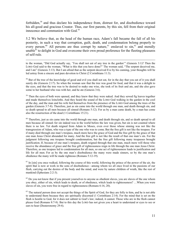forbidden,<sup>58</sup> and thus declare his independence from, distrust for, and disobedience toward his all-good and gracious Creator. Thus, our first parents, by this sin, fell from their original innocence and communion with God.<sup>59</sup>

5.2 We believe that, as the head of the human race, Adam's fall became the fall of all his posterity, in such a way that corruption, guilt, death, and condemnation belong properly to every person.<sup>60</sup> All persons are thus corrupt by nature,<sup>61</sup> enslaved to  $\sin^{62}$  and morally unable $^{63}$  to delight in God and overcome their own proud preference for the fleeting pleasures of self-rule.

 to the woman, "Did God actually say, 'You shall not eat of any tree in the garden'" (Genesis 3:1)? Then the LORD God said to the woman, "What is this that you have done?" The woman said, "The serpent deceived me, and I ate" (Genesis 3:13). But I am afraid that as the serpent deceived Eve by his cunning, your thoughts will be led astray from a sincere and pure devotion to Christ (2 Corinthians 11:3).

<sup>58</sup> But of the tree of the knowledge of good and evil you shall not eat, for in the day that you eat of it you shall surely die (Genesis 2:17). So when the woman saw that the tree was good for food, and that it was a delight to the eyes, and that the tree was to be desired to make one wise, she took of its fruit and ate, and she also gave some to her husband who was with her, and he ate (Genesis 3:6).

<sup>59</sup> Then the eyes of both were opened, and they knew that they were naked. And they sewed fig leaves together and made themselves loincloths. And they heard the sound of the LORD God walking in the garden in the cool of the day, and the man and his wife hid themselves from the presence of the LORD God among the trees of the garden (Genesis 3:7-8). Therefore, just as sin came into the world through one man, and death through sin, and so death spread to all men because all sinned (Romans 5:12). For as by a man came death, by a man has come also the resurrection of the dead (1 Corinthians 15:21).

<sup>60</sup> Therefore, just as sin came into the world through one man, and death through sin, and so death spread to all men because all sinned- for sin indeed was in the world before the law was given, but sin is not counted where there is no law. Yet death reigned from Adam to Moses, even over those whose sinning was not like the transgression of Adam, who was a type of the one who was to come.But the free gift is not like the trespass. For if many died through one man's trespass, much more have the grace of God and the free gift by the grace of that one man Jesus Christ abounded for many. And the free gift is not like the result of that one man's sin. For the judgment following one trespass brought condemnation, but the free gift following many trespasses brought justification. If, because of one man's trespass, death reigned through that one man, much more will those who receive the abundance of grace and the free gift of righteousness reign in life through the one man Jesus Christ. Therefore, as one trespass led to condemnation for all men, so one act of righteousness leads to justification and life for all men. For as by the one man's disobedience the many were made sinners, so by the one man's obedience the many will be made righteous (Romans 5:12-19).

 $<sup>61</sup>$  In [sin] you once walked, following the course of this world, following the prince of the power of the air, the</sup> spirit that is now at work in the sons of disobedience—among whom we all once lived in the passions of our flesh, carrying out the desires of the body and the mind, and were by nature children of wrath, like the rest of mankind (Ephesians 2:2-3).

 $62$  Do you not know that if you present yourselves to anyone as obedient slaves, you are slaves of the one whom you obey, either of sin, which leads to death, or of obedience, which leads to righteousness? …When you were slaves of sin, you were free in regard to righteousness (Romans 6:16, 20).

 $63$  The natural person does not accept the things of the Spirit of God, for they are folly to him, and he is not able to understand them because they are spiritually discerned (1 Corinthians 2:14). For the mind that is set on the flesh is hostile to God, for it does not submit to God's law; indeed, it cannot. Those who are in the flesh cannot please God (Romans 8:7-8). But to this day the LORD has not given you a heart to understand or eyes to see or ears to hear (Deuteronomy 29:4).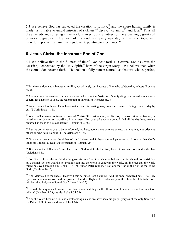5.3 We believe God has subjected the creation to futility,  $64$  and the entire human family is made justly liable to untold miseries of sickness,  $65 \text{ decay}$ ,  $66 \text{ calamity}$ ,  $67 \text{ and loss}$ . Thus all the adversity and suffering in the world is an echo and a witness of the exceedingly great evil of moral depravity in the heart of mankind; and every new day of life is a God-given, merciful reprieve from imminent judgment, pointing to repentance.<sup>69</sup>

#### **6. Jesus Christ, the Incarnate Son of God**

 $\overline{a}$ 

6.1 We believe that in the fullness of time<sup>70</sup> God sent forth His eternal Son as Jesus the Messiah,<sup>71</sup> conceived by the Holy Spirit,<sup>72</sup> born of the virgin Mary.<sup>73</sup> We believe that, when the eternal Son became flesh,<sup>74</sup> He took on a fully human nature,<sup>75</sup> so that two whole, perfect,

 $67$  Who shall separate us from the love of Christ? Shall tribulation, or distress, or persecution, or famine, or nakedness, or danger, or sword? As it is written, "For your sake we are being killed all the day long; we are regarded as sheep to be slaughtered" (Romans 8:35-36).

<sup>68</sup> But we do not want you to be uninformed, brothers, about those who are asleep, that you may not grieve as others do who have no hope (1 Thessalonians 4:13).

<sup>69</sup> Or do you presume on the riches of his kindness and forbearance and patience, not knowing that God's kindness is meant to lead you to repentance (Romans 2:4)?

 $70$  But when the fullness of time had come, God sent forth his Son, born of woman, born under the law (Galatians 4:4).

 $71$  For God so loved the world, that he gave his only Son, that whoever believes in him should not perish but have eternal life. For God did not send his Son into the world to condemn the world, but in order that the world might be saved through him (John 3:16-17). Simon Peter replied, "You are the Christ, the Son of the living God" (Matthew 16:16).

 $72$  And Mary said to the angel, "How will this be, since I am a virgin?" And the angel answered her, "The Holy Spirit will come upon you, and the power of the Most High will overshadow you; therefore the child to be born will be called holy—the Son of God" (Luke 1:34-35).

 $73$  Behold, the virgin shall conceive and bear a son, and they shall call his name Immanuel (which means, God with us) (Matthew 1:23; see also Luke 1:34-35).

 $74$  And the Word became flesh and dwelt among us, and we have seen his glory, glory as of the only Son from the Father, full of grace and truth (John 1:14).

 $64$  For the creation was subjected to futility, not willingly, but because of him who subjected it, in hope (Romans 8:20).

 $<sup>65</sup>$  And not only the creation, but we ourselves, who have the first fruits of the Spirit, groan inwardly as we wait</sup> eagerly for adoption as sons, the redemption of our bodies (Romans 8:23).

<sup>&</sup>lt;sup>66</sup> So we do not lose heart. Though our outer nature is wasting away, our inner nature is being renewed day by day (2 Corinthians 4:16).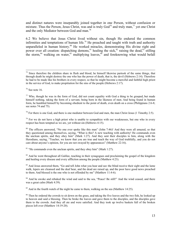and distinct natures were inseparably joined together in one Person, without confusion or mixture. Thus the Person, Jesus Christ, was and is truly  $God<sup>76</sup>$  and truly man,<sup>77</sup> yet one Christ and the only Mediator between God and man.<sup>78</sup>

6.2 We believe that Jesus Christ lived without sin, though He endured the common infirmities and temptations of human life.<sup>79</sup> He preached and taught with truth and authority unparalleled in human history.<sup>80</sup> He worked miracles, demonstrating His divine right and power over all creation: dispatching demons,<sup>81</sup> healing the sick,<sup>82</sup> raising the dead,<sup>83</sup> stilling the storm,<sup>84</sup> walking on water,<sup>85</sup> multiplying loaves,<sup>86</sup> and foreknowing what would befall

 $76$  See note 16.

 $78$  For there is one God, and there is one mediator between God and men, the man Christ Jesus (1 Timothy 2:5).

 $79$  For we do not have a high priest who is unable to sympathize with our weaknesses, but one who in every respect has been tempted as we are, yet without sin (Hebrews 4:15).

<sup>80</sup> The officers answered, "No one ever spoke like this man" (John 7:46)! And they were all amazed, so that they questioned among themselves, saying, "What is this? A new teaching with authority! He commands even the unclean spirits, and they obey him" (Mark 1:27). And they sent their disciples to him, along with the Herodians, saying, "Teacher, we know that you are true and teach the way of God truthfully, and you do not care about anyone's opinion, for you are not swayed by appearances" (Matthew 22:16).

 $81$  "He commands even the unclean spirits, and they obey him" (Mark 1:27).

<sup>82</sup> And he went throughout all Galilee, teaching in their synagogues and proclaiming the gospel of the kingdom and healing every disease and every affliction among the people (Matthew 4:23).

<sup>83</sup> And Jesus answered them, "Go and tell John what you hear and see: the blind receive their sight and the lame walk, lepers are cleansed and the deaf hear, and the dead are raised up, and the poor have good news preached to them. And blessed is the one who is not offended by me" (Matthew 11:4-6).

<sup>84</sup> And he awoke and rebuked the wind and said to the sea, "Peace! Be still!" And the wind ceased, and there was a great calm (Mark 4:39).

<sup>85</sup> And in the fourth watch of the night he came to them, walking on the sea (Matthew 14:25).

<sup>86</sup> Then he ordered the crowds to sit down on the grass, and taking the five loaves and the two fish, he looked up to heaven and said a blessing. Then he broke the loaves and gave them to the disciples, and the disciples gave them to the crowds. And they all ate and were satisfied. And they took up twelve baskets full of the broken pieces left over (Matthew 14:19-20).

 $75$  Since therefore the children share in flesh and blood, he himself likewise partook of the same things, that through death he might destroy the one who has the power of death, that is, the devil (Hebrews 2:14). Therefore he had to be made like his brothers in every respect, so that he might become a merciful and faithful high priest in the service of God, to make propitiation for the sins of the people (Hebrews 2:17).

 $77$  Who, though he was in the form of God, did not count equality with God a thing to be grasped, but made himself nothing, taking the form of a servant, being born in the likeness of men. And being found in human form, he humbled himself by becoming obedient to the point of death, even death on a cross (Philippians 2:6-8; see notes 74 and 75).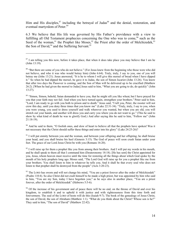Him and His disciples,<sup>87</sup> including the betrayal of Judas<sup>88</sup> and the denial, restoration, and eventual martyrdom of Peter.<sup>89</sup>

6.3 We believe that His life was governed by His Father's providence with a view to fulfilling all Old Testament prophecies concerning the One who was to come,<sup>90</sup> such as the Seed of the woman,<sup>91</sup> the Prophet like Moses,<sup>92</sup> the Priest after the order of Melchizedek,<sup>93</sup> the Son of David,  $94$  and the Suffering Servant.  $95$ 

 $\overline{a}$ 

<sup>89</sup> "Simon, Simon, behold, Satan demanded to have you, that he might sift you like wheat, but I have prayed for you that your faith may not fail. And when you have turned again, strengthen your brothers." Peter said to him, "Lord, I am ready to go with you both to prison and to death." Jesus said, "I tell you, Peter, the rooster will not crow this day, until you deny three times that you know me" (Luke 22:31-34). "Truly, truly, I say to you, when you were young, you used to dress yourself and walk wherever you wanted, but when you are old, you will stretch out your hands, and another will dress you and carry you where you do not want to go." (This he said to show by what kind of death he was to glorify God.) And after saying this he said to him, "Follow me" (John 21:18-19).

<sup>90</sup> And he said to them, "O foolish ones, and slow of heart to believe all that the prophets have spoken! Was it not necessary that the Christ should suffer these things and enter into his glory" (Luke 24:25-26)?

 $91$  I will put enmity between you and the woman, and between your offspring and her offspring; he shall bruise your head, and you shall bruise his heel (Genesis 3:15). The God of peace will soon crush Satan under your feet. The grace of our Lord Jesus Christ be with you (Romans 16:20).

 $92$  I will raise up for them a prophet like you from among their brothers. And I will put my words in his mouth, and he shall speak to them all that I command him (Deuteronomy 18:18). [He has sent] the Christ appointed for you, Jesus, whom heaven must receive until the time for restoring all the things about which God spoke by the mouth of his holy prophets long ago. Moses said, "The Lord God will raise up for you a prophet like me from your brothers. You shall listen to him in whatever he tells you. And it shall be that every soul who does not listen to that prophet shall be destroyed from the people" (Acts 3:20-23).

 $93$  The LORD has sworn and will not change his mind, "You are a priest forever after the order of Melchizedek" (Psalm 110:4). So also Christ did not exalt himself to be made a high priest, but was appointed by him who said to him, "You are my Son, today I have begotten you;" as he says also in another place, "You are a priest forever, after the order of Melchizedek" (Hebrews 5:5-6).

 $94$  Of the increase of his government and of peace there will be no end, on the throne of David and over his kingdom, to establish it and to uphold it with justice and with righteousness from this time forth and forevermore. The zeal of the LORD of hosts will do this (Isaiah 9:7). The book of the genealogy of Jesus Christ, the son of David, the son of Abraham (Matthew 1:1). "What do you think about the Christ? Whose son is he?" They said to him, "The son of David" (Matthew 22:42).

 $87$  I am telling you this now, before it takes place, that when it does take place you may believe that I am he (John 13:19).

<sup>&</sup>lt;sup>88</sup> "But there are some of you who do not believe." (For Jesus knew from the beginning who those were who did not believe, and who it was who would betray him) (John 6:64). Truly, truly, I say to you, one of you will betray me (John 13:21). Jesus answered, "It is he to whom I will give this morsel of bread when I have dipped it." So when he had dipped the morsel, he gave it to Judas, the son of Simon Iscariot (John 13:26). You know that after two days the Passover is coming, and the Son of Man will be delivered up to be crucified (Matthew 26:2). [When he had given the morsel to Judas] Jesus said to him, "What you are going to do, do quickly" (John 13:27).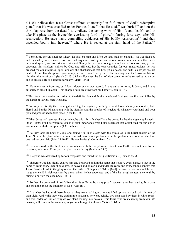6.4 We believe that Jesus Christ suffered voluntarily<sup>96</sup> in fulfillment of God's redemptive plan,<sup>97</sup> that He was crucified under Pontius Pilate,<sup>98</sup> that He died,<sup>99</sup> was buried<sup>100</sup> and on the third day rose from the dead<sup>101</sup> to vindicate the saving work of His life and death<sup>102</sup> and to take His place as the invincible, everlasting Lord of glory.<sup>103</sup> During forty days after His resurrection. He gave many compelling evidences of His bodily resurrection<sup> $104$ </sup> and then ascended bodily into heaven,<sup>105</sup> where He is seated at the right hand of the Father,<sup>106</sup>

<sup>96</sup> "No one takes it from me, but I lay it down of my own accord. I have authority to lay it down, and I have authority to take it up again. This charge I have received from my Father" (John 10:18).

 $97$  This Jesus, delivered up according to the definite plan and foreknowledge of God, you crucified and killed by the hands of lawless men (Acts 2:23).

<sup>98</sup> For truly in this city there were gathered together against your holy servant Jesus, whom you anointed, both Herod and Pontius Pilate, along with the Gentiles and the peoples of Israel, to do whatever your hand and your plan had predestined to take place (Acts 4:27-28).

 $99$  When Jesus had received the sour wine, he said, "It is finished," and he bowed his head and gave up his spirit (John 19:30). For I delivered to you as of first importance what I also received: that Christ died for our sins in accordance with the Scriptures (1 Corinthians 15:3).

<sup>100</sup> So they took the body of Jesus and bound it in linen cloths with the spices, as is the burial custom of the Jews. Now in the place where he was crucified there was a garden, and in the garden a new tomb in which no one had yet been laid (John 19:40-41). He was buried (1 Corinthians 15:4).

<sup>101</sup> He was raised on the third day in accordance with the Scriptures (1 Corinthians 15:4). He is not here, for he has risen, as he said. Come, see the place where he lay (Matthew 28:6).

 $102$  [He] who was delivered up for our trespasses and raised for our justification... (Romans 4:25).

<sup>103</sup> Therefore God has highly exalted him and bestowed on him the name that is above every name, so that at the name of Jesus every knee should bow, in heaven and on earth and under the earth, and every tongue confess that Jesus Christ is Lord, to the glory of God the Father (Philippians 2:9-11). [God] has fixed a day on which he will judge the world in righteousness by a man whom he has appointed; and of this he has given assurance to all by raising him from the dead (Acts 17:31).

<sup>104</sup> To them he presented himself alive after his suffering by many proofs, appearing to them during forty days and speaking about the kingdom of God (Acts 1:3).

<sup>105</sup> And when he had said these things, as they were looking on, he was lifted up, and a cloud took him out of their sight. And while they were gazing into heaven as he went, behold, two men stood by them in white robes, and said, "Men of Galilee, why do you stand looking into heaven? This Jesus, who was taken up from you into heaven, will come in the same way as you saw him go into heaven" (Acts 1:9-11).

<sup>&</sup>lt;sup>95</sup> Behold, my servant shall act wisely; he shall be high and lifted up, and shall be exalted... He was despised and rejected by men; a man of sorrows, and acquainted with grief; and as one from whom men hide their faces he was despised, and we esteemed him not. Surely he has borne our griefs and carried our sorrows; yet we esteemed him stricken, smitten by God, and afflicted. But he was wounded for our transgressions; he was crushed for our iniquities; upon him was the chastisement that brought us peace, and with his stripes we are healed. All we like sheep have gone astray; we have turned every one to his own way; and the LORD has laid on him the iniquity of us all (Isaiah 52:13, 53:3-6). For even the Son of Man came not to be served but to serve, and to give his life as a ransom for many (Mark 10:45).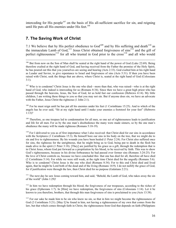interceding for His people<sup>107</sup> on the basis of His all-sufficient sacrifice for sin, and reigning until He puts all His enemies under His feet. $108$ 

#### **7. The Saving Work of Christ**

7.1 We believe that by His perfect obedience to  $God^{109}$  and by His suffering and death<sup>110</sup> as the immaculate Lamb of God,<sup>111</sup> Jesus Christ obtained forgiveness of sins<sup>112</sup> and the gift of perfect righteousness<sup>113</sup> for all who trusted in God prior to the cross<sup>114</sup> and all who would

<sup>106</sup> But from now on the Son of Man shall be seated at the right hand of the power of God (Luke 22:69). Being therefore exalted at the right hand of God, and having received from the Father the promise of the Holy Spirit, he has poured out this that you yourselves are seeing and hearing (Acts 2:33). God exalted him at his right hand as Leader and Savior, to give repentance to Israel and forgiveness of sins (Acts 5:31). If then you have been raised with Christ, seek the things that are above, where Christ is, seated at the right hand of God (Colossians  $3:1$ ).

 $107$  Who is to condemn? Christ Jesus is the one who died—more than that, who was raised—who is at the right hand of God, who indeed is interceding for us (Romans 8:34). Since then we have a great high priest who has passed through the heavens, Jesus, the Son of God, let us hold fast our confession (Hebrews 4:14). My little children, I am writing these things to you so that you may not sin. But if anyone does sin, we have an advocate with the Father, Jesus Christ the righteous (1 John 2:1).

<sup>108</sup> For he must reign until he has put all his enemies under his feet (1 Corinthians 15:25). And to which of the angels has he ever said, "Sit at my right hand until I make your enemies a footstool for your feet" (Hebrews 1:13)?

<sup>109</sup> Therefore, as one trespass led to condemnation for all men, so one act of righteousness leads to justification and life for all men. For as by the one man's disobedience the many were made sinners, so by the one man's obedience the many will be made righteous (Romans 5:18-19).

<sup>110</sup> For I delivered to you as of first importance what I also received: that Christ died for our sins in accordance with the Scriptures (1 Corinthians 15:3). He himself bore our sins in his body on the tree, that we might die to sin and live to righteousness. By his wounds you have been healed (1 Peter 2:24). For Christ also suffered once for sins, the righteous for the unrighteous, that he might bring us to God, being put to death in the flesh but made alive in the spirit (1 Peter 3:18). [They] are justified by his grace as a gift, through the redemption that is in Christ Jesus, whom God put forward as a propitiation by his blood, to be received by faith. This was to show God's righteousness, because in his divine forbearance he had passed over former sins (Romans 3:24-25). For the love of Christ controls us, because we have concluded this: that one has died for all, therefore all have died (2 Corinthians 5:14). For while we were still weak, at the right time Christ died for the ungodly (Romans 5:6). Who is to condemn? Christ Jesus is the one who died (Romans 8:34). For to this end Christ died and lived again, that he might be Lord both of the dead and of the living (Romans 14:9). I do not nullify the grace of God, for if justification were through the law, then Christ died for no purpose (Galatians 2:21).

<sup>111</sup> The next day he saw Jesus coming toward him, and said, "Behold, the Lamb of God, who takes away the sin of the world" (John 1:29)!

<sup>112</sup> In him we have redemption through his blood, the forgiveness of our trespasses, according to the riches of his grace (Ephesians 1:7). In [Him] we have redemption, the forgiveness of sins (Colossians 1:14). Let it be known to you therefore, brothers, that through this man forgiveness of sins is proclaimed to you (Acts 13:38).

<sup>113</sup> For our sake he made him to be sin who knew no sin, so that in him we might become the righteousness of God (2 Corinthians 5:21). [May I] be found in him, not having a righteousness of my own that comes from the law, but that which comes through faith in Christ, the righteousness from God that depends on faith (Philippians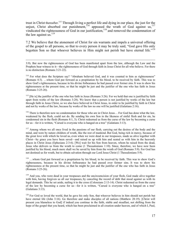trust in Christ thereafter.<sup>115</sup> Through living a perfect life and dying in our place, the just for the unjust, Christ absorbed our punishment,  $16$  appeased the wrath of God against us,  $117$ vindicated the righteousness of God in our justification,<sup>118</sup> and removed the condemnation of the law against us. $^{119}$ 

7.2 We believe that the atonement of Christ for sin warrants and impels a universal offering of the gospel to all persons, so that to every person it may be truly said, "God gave His only begotten Son so that whoever believes in Him might not perish but have eternal life."<sup>120</sup>

 3:9). But now the righteousness of God has been manifested apart from the law, although the Law and the Prophets bear witness to it—the righteousness of God through faith in Jesus Christ for all who believe. For there is no distinction (Romans 3:21-22).

<sup>114</sup> For what does the Scripture say? "Abraham believed God, and it was counted to him as righteousness" (Romans 4:3). …whom God put forward as a propitiation by his blood, to be received by faith. This was to show God's righteousness, because in his divine forbearance he had passed over former sins. It was to show his righteousness at the present time, so that he might be just and the justifier of the one who has faith in Jesus (Romans 3:25-26).

<sup>115</sup> [He is] the justifier of the one who has faith in Jesus (Romans  $3:26$ ). For we hold that one is justified by faith apart from works of the law (Romans 3:28). We know that a person is not justified by works of the law but through faith in Jesus Christ, so we also have believed in Christ Jesus, in order to be justified by faith in Christ and not by works of the law, because by works of the law no one will be justified (Galatians 2:16).

<sup>116</sup> There is therefore now no condemnation for those who are in Christ Jesus... For God has done what the law, weakened by the flesh, could not do. By sending his own Son in the likeness of sinful flesh and for sin, he condemned sin in the flesh (Romans 8:1, 3). Christ redeemed us from the curse of the law by becoming a curse for us—for it is written, "Cursed is everyone who is hanged on a tree" (Galatians 3:13).

<sup>117</sup> Among whom we all once lived in the passions of our flesh, carrying out the desires of the body and the mind, and were by nature children of wrath, like the rest of mankind. But God, being rich in mercy, because of the great love with which he loved us, even when we were dead in our trespasses, made us alive together with Christ—by grace you have been saved—and raised us up with him and seated us with him in the heavenly places in Christ Jesus (Ephesians 2:3-6). [We] wait for his Son from heaven, whom he raised from the dead, Jesus who delivers us from the wrath to come (1 Thessalonians 1:10). Since, therefore, we have now been justified by his blood, much more shall we be saved by him from the wrath of God (Romans 5:9). For God has not destined us for wrath, but to obtain salvation through our Lord Jesus Christ (1 Thessalonians 5:9).

<sup>118</sup> ...whom God put forward as a propitiation by his blood, to be received by faith. This was to show God's righteousness, because in his divine forbearance he had passed over former sins. It was to show his righteousness at the present time, so that he might be just and the justifier of the one who has faith in Jesus (Romans 3:25-26).

<sup>119</sup> And you, who were dead in your trespasses and the uncircumcision of your flesh, God made alive together with him, having forgiven us all our trespasses, by canceling the record of debt that stood against us with its legal demands. This he set aside, nailing it to the cross (Colossians 2:13-14). Christ redeemed us from the curse of the law by becoming a curse for us—for it is written, "Cursed is everyone who is hanged on a tree" (Galatians 3:13).

 $120$  For God so loved the world, that he gave his only Son, that whoever believes in him should not perish but have eternal life (John 3:16). Go therefore and make disciples of all nations (Matthew 28:19). [Christ will present you blameless to God] if indeed you continue in the faith, stable and steadfast, not shifting from the hope of the gospel that you heard, which has been proclaimed in all creation under heaven, and of which I, Paul,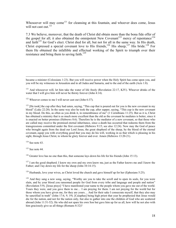Whosoever will may come<sup>121</sup> for cleansing at this fountain, and whoever does come, Jesus will not cast out  $122$ 

7.3 We believe, moreover, that the death of Christ did obtain more than the bona fide offer of the gospel for all; it also obtained the omnipotent New Covenant<sup>123</sup> mercy of repentance<sup>124</sup> and faith<sup>125</sup> for God's elect. Christ died for all, but not for all in the same way. In His death, Christ expressed a special covenant love to His friends,<sup>126</sup> His sheep,<sup>127</sup> His bride.<sup>128</sup> For them He obtained the infallible and effectual working of the Spirit to triumph over their resistance and bring them to saving faith.<sup>129</sup>

<sup>121</sup> And whosoever will, let him take the water of life freely (Revelation 22:17, KJV). Whoever drinks of the water that I will give him will never be thirsty forever (John 4:14).

<sup>122</sup> Whoever comes to me I will never cast out (John 6:37).

<sup>123</sup> [He took] the cup after they had eaten, saying, "This cup that is poured out for you is the new covenant in my blood" (Luke 22:20). In the same way also he took the cup, after supper, saying, "This cup is the new covenant in my blood. Do this, as often as you drink it, in remembrance of me" (1 Corinthians 11:25). But as it is, Christ has obtained a ministry that is as much more excellent than the old as the covenant he mediates is better, since it is enacted on better promises (Hebrews 8:6). Therefore he is the mediator of a new covenant, so that those who are called may receive the promised eternal inheritance, since a death has occurred that redeems them from the transgressions committed under the first covenant (Hebrews 9:15; see also 12:24). Now may the God of peace who brought again from the dead our Lord Jesus, the great shepherd of the sheep, by the blood of the eternal covenant, equip you with everything good that you may do his will, working in us that which is pleasing in his sight, through Jesus Christ, to whom be glory forever and ever. Amen (Hebrews 13:20-21).

 $124$  See note 43.

 $125$  See note 44.

 $126$  Greater love has no one than this, that someone lays down his life for his friends (John 15:13).

 $127$  I am the good shepherd. I know my own and my own know me, just as the Father knows me and I know the Father; and I lay down my life for the sheep (John 10:14-15).

<sup>128</sup> Husbands, love your wives, as Christ loved the church and gave himself up for her (Ephesians 5:25).

<sup>129</sup> And they sang a new song, saying, "Worthy are you to take the scroll and to open its seals, for you were slain, and by your blood you ransomed people for God from every tribe and language and people and nation" (Revelation 5:9). [Jesus prays] "I have manifested your name to the people whom you gave me out of the world. Yours they were, and you gave them to me… I am praying for them. I am not praying for the world but for those whom you have given me, for they are yours… And for their sake I consecrate myself, that they also may be sanctified in truth" (John 17:6, 9, 19). [Caiaphas] being high priest that year he prophesied that Jesus would die for the nation, and not for the nation only, but also to gather into one the children of God who are scattered abroad (John 11:51-52). He who did not spare his own Son but gave him up for us all, how will he not also with him graciously give us all things (Romans 8:32)?

became a minister (Colossians 1:23). But you will receive power when the Holy Spirit has come upon you, and you will be my witnesses in Jerusalem and in all Judea and Samaria, and to the end of the earth (Acts 1:8).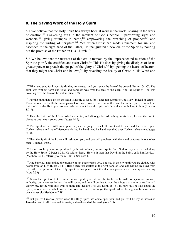#### **8. The Saving Work of the Holy Spirit**

 $\overline{a}$ 

8.1 We believe that the Holy Spirit has always been at work in the world, sharing in the work of creation,<sup>130</sup> awakening faith in the remnant of God's people,<sup>131</sup> performing signs and wonders, $132$  giving triumphs in battle, $133$  empowering the preaching of prophets $134$  and inspiring the writing of Scripture.<sup>135</sup> Yet, when Christ had made atonement for sin, and ascended to the right hand of the Father, He inaugurated a new era of the Spirit by pouring out the promise of the Father on His Church.<sup>136</sup>

8.2 We believe that the newness of this era is marked by the unprecedented mission of the Spirit to glorify the crucified and risen Christ.<sup>137</sup> This He does by giving the disciples of Jesus greater power to preach the gospel of the glory of Christ,<sup>138</sup> by opening the hearts of hearers that they might see Christ and believe,<sup>139</sup> by revealing the beauty of Christ in His Word and

<sup>132</sup> Then the Spirit of the LORD rushed upon him, and although he had nothing in his hand, he tore the lion in pieces as one tears a young goat (Judges 14:6).

<sup>133</sup> The Spirit of the LORD was upon him, and he judged Israel. He went out to war, and the LORD gave Cushan-rishathaim king of Mesopotamia into his hand. And his hand prevailed over Cushan-rishathaim (Judges 3:10).

<sup>134</sup> Then the Spirit of the LORD will rush upon you, and you will prophesy with them and be turned into another man (1 Samuel 10:6).

<sup>135</sup> For no prophecy was ever produced by the will of man, but men spoke from God as they were carried along by the Holy Spirit (2 Peter 1:21). He said to them, "How is it then that David, in the Spirit, calls him Lord…" (Matthew 22:43, referring to Psalm 110:1). See note 1.

 $136$  And behold, I am sending the promise of my Father upon you. But stay in the city until you are clothed with power from on high (Luke 24:49). Being therefore exalted at the right hand of God, and having received from the Father the promise of the Holy Spirit, he has poured out this that you yourselves are seeing and hearing (Acts 2:33).

<sup>137</sup> When the Spirit of truth comes, he will guide you into all the truth, for he will not speak on his own authority, but whatever he hears he will speak, and he will declare to you the things that are to come. He will glorify me, for he will take what is mine and declare it to you (John 16:13-14). Now this he said about the Spirit, whom those who believed in him were to receive, for as yet the Spirit had not been given, because Jesus was not yet glorified (John 7:39).

<sup>138</sup> But you will receive power when the Holy Spirit has come upon you, and you will be my witnesses in Jerusalem and in all Judea and Samaria, and to the end of the earth (Acts 1:8).

<sup>&</sup>lt;sup>130</sup> When you send forth your Spirit, they are created, and you renew the face of the ground (Psalm 104:30). The earth was without form and void, and darkness was over the face of the deep. And the Spirit of God was hovering over the face of the waters (Gen. 1:2).

 $131$  For the mind that is set on the flesh is hostile to God, for it does not submit to God's law; indeed, it cannot. Those who are in the flesh cannot please God. You, however, are not in the flesh but in the Spirit, if in fact the Spirit of God dwells in you. Anyone who does not have the Spirit of Christ does not belong to him (Romans 8:7-9).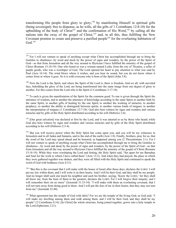transforming His people from glory to glory,<sup>140</sup> by manifesting Himself in spiritual gifts (being sovereignly free to dispense, as he wills, all the gifts of 1 Corinthians 12:8-10) for the upbuilding of the body of Christ<sup> $141$ </sup> and the confirmation of His Word,<sup> $142$ </sup> by calling all the nations into the sway of the gospel of Christ,<sup>143</sup> and, in all this, thus fulfilling the New Covenant promise to create and preserve a purified people<sup>144</sup> for the everlasting habitation of  $God.<sup>145</sup>$ 

<sup>139</sup> For I will not venture to speak of anything except what Christ has accomplished through me to bring the Gentiles to obedience- by word and deed, by the power of signs and wonders, by the power of the Spirit of God—so that from Jerusalem and all the way around to Illyricum I have fulfilled the ministry of the gospel of Christ (Romans 15:18-19). One who heard us was a woman named Lydia, from the city of Thyatira, a seller of purple goods, who was a worshiper of God. The Lord opened her heart to pay attention to what was said by Paul (Acts 16:14). The wind blows where it wishes, and you hear its sound, but you do not know where it comes from or where it goes. So it is with everyone who is born of the Spirit (John 3:8).

<sup>140</sup> Now the Lord is the Spirit, and where the Spirit of the Lord is, there is freedom. And we all, with unveiled face, beholding the glory of the Lord, are being transformed into the same image from one degree of glory to another. For this comes from the Lord who is the Spirit (2 Corinthians 3:17-18).

<sup>141</sup> To each is given the manifestation of the Spirit for the common good. To one is given through the Spirit the utterance of wisdom, and to another the utterance of knowledge according to the same Spirit, to another faith by the same Spirit, to another gifts of healing by the one Spirit, to another the working of miracles, to another prophecy, to another the ability to distinguish between spirits, to another various kinds of tongues, to another the interpretation of tongues (1 Corinthians 12:7-10). God also bore witness by signs and wonders and various miracles and by gifts of the Holy Spirit distributed according to his will (Hebrews 2:4).

 $142$  [Our great salvation] was declared at first by the Lord, and it was attested to us by those who heard, while God also bore witness by signs and wonders and various miracles and by gifts of the Holy Spirit distributed according to his will (Hebrews 2:3-4).

<sup>143</sup> But you will receive power when the Holy Spirit has come upon you, and you will be my witnesses in Jerusalem and in all Judea and Samaria, and to the end of the earth (Acts 1:8). Finally, brothers, pray for us, that the word of the Lord may speed ahead and be honored, as happened among you (2 Thessalonians 3:1). For I will not venture to speak of anything except what Christ has accomplished through me to bring the Gentiles to obedience—by word and deed, by the power of signs and wonders, by the power of the Spirit of God—so that from Jerusalem and all the way around to Illyricum I have fulfilled the ministry of the gospel of Christ (Romans 15:18-19). While they were worshiping the Lord and fasting, the Holy Spirit said, "Set apart for me Barnabas and Saul for the work to which I have called them" (Acts 13:2). And when they had prayed, the place in which they were gathered together was shaken, and they were all filled with the Holy Spirit and continued to speak the word of God with boldness (Acts 4:31).

<sup>144</sup> "But this is the covenant that I will make with the house of Israel after those days, declares the LORD: I will put my law within them, and I will write it on their hearts. And I will be their God, and they shall be my people. And no longer shall each one teach his neighbor and each his brother, saying, 'Know the LORD,' for they shall all know me, from the least of them to the greatest, declares the LORD. For I will forgive their iniquity, and I will remember their sin no more" (Jeremiah 31:33-34). "I will make with them an everlasting covenant, that I will not turn away from doing good to them. And I will put the fear of me in their hearts, that they may not turn from me" (Jeremiah 32:40).

<sup>145</sup> What agreement has the temple of God with idols? For we are the temple of the living God; as God said, "I will make my dwelling among them and walk among them, and I will be their God, and they shall be my people" (2 Corinthians 6:16). [In Christ] the whole structure, being joined together, grows into a holy temple in the Lord (Ephesians 2:21).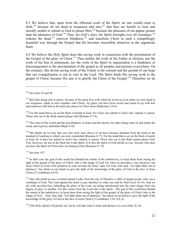8.3 We believe that, apart from the effectual work of the Spirit, no one would come to faith,<sup>146</sup> because all are dead in trespasses and sins;<sup>147</sup> that they are hostile to God, and morally unable to submit to God or please Him,<sup>148</sup> because the pleasures of sin appear greater than the pleasures of God.<sup>149</sup> Thus, for God's elect, the Spirit triumphs over all resistance,<sup>150</sup> wakens the dead,<sup>151</sup> removes blindness,<sup>152</sup> and manifests Christ in such a compellingly beautiful way through the Gospel that He becomes irresistibly attractive to the regenerate heart.

8.4 We believe the Holy Spirit does this saving work in connection with the presentation of the Gospel of the glory of Christ.<sup>153</sup> Thus neither the work of the Father in election, nor the work of the Son in atonement, nor the work of the Spirit in regeneration is a hindrance or discouragement to the proclamation of the gospel to all peoples and persons everywhere. On the contrary, this divine saving work of the Trinity is the warrant and the ground of our hope that our evangelization is not in vain in the Lord. The Spirit binds His saving work to the gospel of Christ, because His aim is to glorify the Christ of the Gospel.<sup>154</sup> Therefore we do

 $\overline{a}$ 

<sup>148</sup> For the mind that is set on the flesh is hostile to God, for it does not submit to God's law; indeed, it cannot. Those who are in the flesh cannot please God (Romans 8:7-8).

<sup>149</sup> The cares of the world and the deceitfulness of riches and the desires for other things enter in and choke the word, and it proves unfruitful (Mark 4:19).

<sup>150</sup> But thanks be to God, that you who were once slaves of sin have become obedient from the heart to the standard of teaching to which you were committed (Romans 6:17). For the mind that is set on the flesh is hostile to God, for it does not submit to God's law; indeed, it cannot. Those who are in the flesh cannot please God. You, however, are not in the flesh but in the Spirit, if in fact the Spirit of God dwells in you. Anyone who does not have the Spirit of Christ does not belong to him (Romans 8:7-9).

 $151$  See note 147.

 $152$  In their case the god of this world has blinded the minds of the unbelievers, to keep them from seeing the light of the gospel of the glory of Christ, who is the image of God. For what we proclaim is not ourselves, but Jesus Christ as Lord, with ourselves as your servants for Jesus' sake. For God, who said, "Let light shine out of darkness," has shone in our hearts to give the light of the knowledge of the glory of God in the face of Jesus Christ (2 Corinthians 4:4-6).

<sup>153</sup> One who heard us was a woman named Lydia, from the city of Thyatira, a seller of purple goods, who was a worshiper of God. The Lord opened her heart to pay attention to what was said by Paul (Acts 16:14). And we all, with unveiled face, beholding the glory of the Lord, are being transformed into the same image from one degree of glory to another. For this comes from the Lord who is the Spirit…The god of this world has blinded the minds of the unbelievers, to keep them from seeing the light of the gospel of the glory of Christ, who is the image of God… God, who said, "Let light shine out of darkness," has shone in our hearts to give the light of the knowledge of the glory of God in the face of Jesus Christ (2 Corinthians 3:18; 4:4, 6).

<sup>154</sup> [The Holy Spirit] will glorify me, for he will take what is mine and declare it to you (John 16:14).

 $146$  See notes 43 and 44.

<sup>&</sup>lt;sup>147</sup> But God, being rich in mercy, because of the great love with which he loved us, even when we were dead in our trespasses, made us alive together with Christ—by grace you have been saved- and raised us up with him and seated us with him in the heavenly places in Christ Jesus (Ephesians 2:4-6).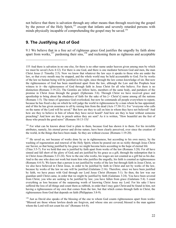not believe that there is salvation through any other means than through receiving the gospel by the power of the Holy Spirit,<sup>155</sup> except that infants and severely retarded persons with minds physically incapable of comprehending the gospel may be saved.<sup>156</sup>

# **9. The Justifying Act of God**

 $\overline{a}$ 

9.1 We believe that in a free act of righteous grace God justifies the ungodly by faith alone apart from works,  $157$  pardoning their sins,  $158$  and reckoning them as righteous and acceptable

<sup>156</sup> For what can be known about God is plain to them, because God has shown it to them. For his invisible attributes, namely, his eternal power and divine nature, have been clearly perceived, ever since the creation of the world, in the things that have been made. So they are without excuse (Romans 1:19-20).

<sup>157</sup> He saved us, not because of works done by us in righteousness, but according to his own mercy, by the washing of regeneration and renewal of the Holy Spirit, whom he poured out on us richly through Jesus Christ our Savior,so that being justified by his grace we might become heirs according to the hope of eternal life

<sup>155</sup> And there is salvation in no one else, for there is no other name under heaven given among men by which we must be saved (Acts 4:12). For there is one God, and there is one mediator between God and men, the man Christ Jesus (1 Timothy 2:5). Now we know that whatever the law says it speaks to those who are under the law, so that every mouth may be stopped, and the whole world may be held accountable to God. For by works of the law no human being will be justified in his sight, since through the law comes knowledge of sin. But now the righteousness of God has been manifested apart from the law, although the Law and the Prophets bear witness to it—the righteousness of God through faith in Jesus Christ for all who believe. For there is no distinction (Romans 3:19-22). The Gentiles are fellow heirs, members of the same body, and partakers of the promise in Christ Jesus through the gospel. (Ephesians 3:6). Through Christ we have received grace and apostleship to bring about the obedience of faith for the sake of his [= Christ's] name among all the nations (Romans 1:5). The times of ignorance God overlooked, but now he commands all people everywhere to repent, because he has fixed a day on which he will judge the world in righteousness by a man whom he has appointed; and of this he has given assurance to all by raising him from the dead (Acts 17:30-31). For "everyone who calls on the name of the Lord will be saved." But how are they to call on him in whom they have not believed? And how are they to believe in him of whom they have never heard? And how are they to hear without someone preaching? And how are they to preach unless they are sent? As it is written, "How beautiful are the feet of those who preach the good news" (Romans 10:13-15)!

<sup>(</sup>Titus 3:5-7). For we hold that one is justified by faith apart from works of the law (Romans 3:28). For all have sinned and fall short of the glory of God, and are justified by his grace as a gift, through the redemption that is in Christ Jesus (Romans 3:23-24). Now to the one who works, his wages are not counted as a gift but as his due. And to the one who does not work but trusts him who justifies the ungodly, his faith is counted as righteousness (Romans 4:4-5). We know that a person is not justified by works of the law but through faith in Jesus Christ, so we also have believed in Christ Jesus, in order to be justified by faith in Christ and not by works of the law, because by works of the law no one will be justified (Galatians 2:16). Therefore, since we have been justified by faith, we have peace with God through our Lord Jesus Christ (Romans 5:1). So then, the law was our guardian until Christ came, in order that we might be justified by faith (Galatians 3:24). You have been severed from Christ, you who are seeking to be justified by law; you have fallen from grace (Galatians 5:4). I count everything as loss because of the surpassing worth of knowing Christ Jesus my Lord. For his sake I have suffered the loss of all things and count them as rubbish, in order that I may gain Christ and be found in him, not having a righteousness of my own that comes from the law, but that which comes through faith in Christ, the righteousness from God that depends on faith (Philippians 3:8-9).

<sup>&</sup>lt;sup>158</sup> Just as David also speaks of the blessing of the one to whom God counts righteousness apart from works: "Blessed are those whose lawless deeds are forgiven, and whose sins are covered; blessed is the man against whom the Lord will not count his sin" (Romans 4:6-8).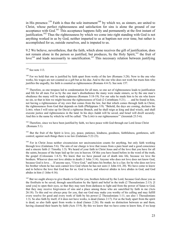in His presence.<sup>159</sup> Faith is thus the sole instrument<sup>160</sup> by which we, as sinners, are united to Christ, whose perfect righteousness and satisfaction for sins is alone the ground of our acceptance with God.<sup>161</sup> This acceptance happens fully and permanently at the first instant of justification.<sup>162</sup> Thus the righteousness by which we come into right standing with God is not anything worked in us by God, neither imparted to us at baptism nor over time, but rather is accomplished for us, outside ourselves, and is imputed to us.

9.2 We believe, nevertheless, that the faith, which alone receives the gift of justification, does not remain alone in the person so justified, but produces, by the Holy Spirit,<sup>163</sup> the fruit of  $love^{164}$  and leads necessarily to sanctification.<sup>165</sup> This necessary relation between justifying

 $\overline{a}$ 

 $162$  Therefore, since we have been justified by faith, we have peace with God through our Lord Jesus Christ (Romans 5:1).

<sup>163</sup> But the fruit of the Spirit is love, joy, peace, patience, kindness, goodness, faithfulness, gentleness, selfcontrol; against such things there is no law (Galatians 5:22-23).

<sup>164</sup> For in Christ Jesus neither circumcision nor uncircumcision counts for anything, but only faith working through love (Galatians 5:6). The aim of our charge is love that issues from a pure heart and a good conscience and a sincere faith (1 Timothy 1:5). We heard of your faith in Christ Jesus and of the love that you have for all the saints, because of the hope laid up for you in heaven. Of this you have heard before in the word of the truth, the gospel (Colossians 1:4-5). We know that we have passed out of death into life, because we love the brothers. Whoever does not love abides in death (1 John 3:14). Anyone who does not love does not know God, because God is love. . . If anyone says, "I love God," and hates his brother, he is a liar; for he who does not love his brother whom he has seen cannot love God whom he has not seen (1 John 4:8, 20). We have come to know and to believe the love that God has for us. God is love, and whoever abides in love abides in God, and God abides in him (1 John 4:16).

<sup>165</sup> But we ought always to give thanks to God for you, brothers beloved by the Lord, because God chose you as the firstfruits to be saved, through sanctification by the Spirit and belief in the truth (2 Thessalonians 2:13). [I send you] to open their eyes, so that they may turn from darkness to light and from the power of Satan to God, that they may receive forgiveness of sins and a place among those who are sanctified by faith in me (Acts 26:18). To this end we always pray for you, that our God may make you worthy of his calling and may fulfill every resolve for good and every work of faith by his power (2 Thessalonians 1:11; see also 1 Thessalonians 1:3). So also faith by itself, if it does not have works, is dead (James 2:17). For as the body apart from the spirit is dead, so also faith apart from works is dead (James 2:26). He made no distinction between us and them, having cleansed their hearts by faith (Acts 15:9). By this we know that we have come to know him, if we keep

 $159$  See note 113.

<sup>&</sup>lt;sup>160</sup> For we hold that one is justified by faith apart from works of the law (Romans 3:28). Now to the one who works, his wages are not counted as a gift but as his due. And to the one who does not work but trusts him who justifies the ungodly, his faith is counted as righteousness (Romans 4:4-5). See note 157.

<sup>&</sup>lt;sup>161</sup> Therefore, as one trespass led to condemnation for all men, so one act of righteousness leads to justification and life for all men. For as by the one man's disobedience the many were made sinners, so by the one man's obedience the many will be made righteous (Romans 5:18-19). For our sake he made him to be sin who knew no sin, so that in him we might become the righteousness of God (2 Corinthians 5:21). . . . and be found in him, not having a righteousness of my own that comes from the law, but that which comes through faith in Christ, the righteousness from God that depends on faith (Philippians 3:9). "Behold, the days are coming, declares the LORD, when I will raise up for David a righteous Branch, and he shall reign as king and deal wisely, and shall execute justice and righteousness in the land. In his days Judah will be saved, and Israel will dwell securely. And this is the name by which he will be called: 'The LORD is our righteousness'" (Jeremiah 23:5-6).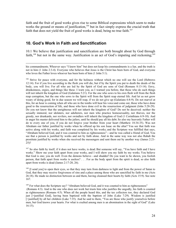faith and the fruit of good works gives rise to some Biblical expressions which seem to make works the ground or means of justification,<sup>166</sup> but in fact simply express the crucial truth that faith that does not yield the fruit of good works is dead, being no true faith.<sup>167</sup>

#### **10. God's Work in Faith and Sanctification**

10.1 We believe that justification and sanctification are both brought about by God through faith,<sup>168</sup> but not in the same way. Justification is an act of God's imputing and reckoning;<sup>169</sup>

 his commandments. Whoever says "I know him" but does not keep his commandments is a liar, and the truth is not in him (1 John 2:3-4). Everyone who believes that Jesus is the Christ has been born of God, and everyone who loves the Father loves whoever has been born of him (1 John 5:1).

<sup>166</sup> Strive for peace with everyone, and for the holiness without which no one will see the Lord (Hebrews 12:14). For if you live according to the flesh you will die, but if by the Spirit you put to death the deeds of the body, you will live. For all who are led by the Spirit of God are sons of God (Romans 8:13-14). Envy, drunkenness, orgies, and things like these. I warn you, as I warned you before, that those who do such things will not inherit the kingdom of God (Galatians 5:21). For the one who sows to his own flesh will from the flesh reap corruption, but the one who sows to the Spirit will from the Spirit reap eternal life. And let us not grow weary of doing good, for in due season we will reap, if we do not give up (Galatians 6:8-9). Do not marvel at this, for an hour is coming when all who are in the tombs will hear his voice and come out, those who have done good to the resurrection of life, and those who have done evil to the resurrection of judgment (John 5:28-29). Do you not know that the unrighteous will not inherit the kingdom of God? Do not be deceived: neither the sexually immoral, nor idolaters, nor adulterers, nor men who practice homosexuality, nor thieves, nor the greedy, nor drunkards, nor revilers, nor swindlers will inherit the kingdom of God (1 Corinthians 6:9-10). And in anger his master delivered him to the jailers, until he should pay all his debt. So also my heavenly Father will do to every one of you, if you do not forgive your brother from your heart (Matthew 18:34-35). Was not Abraham our father justified by works when he offered up his son Isaac on the altar? You see that faith was active along with his works, and faith was completed by his works; and the Scripture was fulfilled that says, "Abraham believed God, and it was counted to him as righteousness"—and he was called a friend of God. You see that a person is justified by works and not by faith alone. And in the same way was not also Rahab the prostitute justified by works when she received the messengers and sent them out by another way (James 2:21- 25)?

 $167$  So also faith by itself, if it does not have works, is dead. But someone will say, "You have faith and I have works." Show me your faith apart from your works, and I will show you my faith by my works. You believe that God is one; you do well. Even the demons believe—and shudder! Do you want to be shown, you foolish person, that faith apart from works is useless? . . . For as the body apart from the spirit is dead, so also faith apart from works is dead (James 2:17-20, 26).

<sup>168</sup> [I send you] to open their eyes, so that they may turn from darkness to light and from the power of Satan to God, that they may receive forgiveness of sins and a place among those who are sanctified by faith in me (Acts 26:18). He made no distinction between us and them, having cleansed their hearts by faith (Acts 15:9). See note 167.

<sup>169</sup> For what does the Scripture say? "Abraham believed God, and it was counted to him as righteousness" (Romans 4:3). And to the one who does not work but trusts him who justifies the ungodly, his faith is counted as righteousness (Romans 4:5). When all the people heard this, and the tax collectors too, they declared God just [=justified God], having been baptized with the baptism of John (Luke 7:29). Wisdom is justified [=justified] by all her children (Luke 7:35). And he said to them, "You are those who justify yourselves before men, but God knows your hearts. For what is exalted among men is an abomination in the sight of God" (Luke 16:15).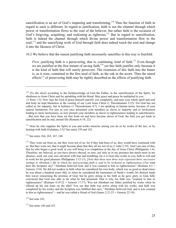sanctification is an act of God's imparting and transforming.<sup>170</sup> Thus the function of faith in regard to each is different. In regard to justification, faith is not the channel through which power or transformation flows to the soul of the believer, but rather faith is the occasion of God's forgiving, acquitting, and reckoning as righteous.<sup>171</sup> But in regard to sanctification, faith is indeed the channel through which divine power and transformation flow to the soul;<sup>172</sup> and the sanctifying work of God through faith does indeed touch the soul and change it into the likeness of Christ.

10.2 We believe that the reason justifying faith necessarily sanctifies in this way is fourfold:

*First,* justifying faith is a persevering, that is, continuing, kind of faith.<sup>173</sup> Even though we are justified at the first instant of saving faith,<sup>174</sup> yet this faith justifies only because it is the kind of faith that will surely persevere. The extension of this faith into the future is, as it were, contained in the first seed of faith, as the oak in the acorn. Thus the moral effects<sup>175</sup> of persevering faith may be rightly described as the effects of justifying faith.

<sup>171</sup> Does he who supplies the Spirit to you and works miracles among you do so by works of the law, or by hearing with faith (Galatians 3:5)? See notes 159 and 162.

<sup>172</sup> See notes 164, 165, 167, 168.

 $\overline{a}$ 

<sup>&</sup>lt;sup>170</sup> [To the elect] according to the foreknowledge of God the Father, in the sanctification of the Spirit, for obedience to Jesus Christ and for sprinkling with his blood: May grace and peace be multiplied to you

 <sup>(1</sup> Peter 1:2). Now may the God of peace himself sanctify you completely, and may your whole spirit and soul and body be kept blameless at the coming of our Lord Jesus Christ (1 Thessalonians 5:23). For God has not called us for impurity, but in holiness (1 Thessalonians 4:7). I am speaking in human terms, because of your natural limitations. For just as you once presented your members as slaves to impurity and to lawlessness leading to more lawlessness, so now present your members as slaves to righteousness leading to sanctification. …But now that you have been set free from sin and have become slaves of God, the fruit you get leads to sanctification and its end, eternal life (Romans 6:19, 22).

<sup>&</sup>lt;sup>173</sup> They went out from us, but they were not of us; for if they had been of us, they would have continued with us. But they went out, that it might become plain that they all are not of us (1 John 2:19). And I am sure of this, that he who began a good work in you will bring it to completion at the day of Jesus Christ (Philippians 1:6). Therefore, my beloved, as you have always obeyed, so now, not only as in my presence but much more in my absence, work out your own salvation with fear and trembling, for it is God who works in you, both to will and to work for his good pleasure (Philippians 2:12-13). [*Note that these next three texts represent three successive settings in Abraham's life in which his (persevering) faith is said to be reckoned as righteousness.*] For what does the Scripture say? "Abraham believed God, and it was counted to him as righteousness" (Romans  $4:3 =$ Genesis 15:6). He did not weaken in faith when he considered his own body, which was as good as dead (since he was about a hundred years old), or when he considered the barrenness of Sarah's womb. No distrust made him waver concerning the promise of God, but he grew strong in his faith as he gave glory to God, fully convinced that God was able to do what he had promised. That is why his faith was "counted to him as righteousness" (Romans 4:19-22 = Genesis 17:17). Was not Abraham our father justified by works when he offered up his son Isaac on the altar? You see that faith was active along with his works, and faith was completed by his works; and the Scripture was fulfilled that says, "Abraham believed God, and it was counted to him as righteousness"—and he was called a friend of God (James 2:21-23 = Genesis 22:10).

<sup>&</sup>lt;sup>174</sup> See note 162.

 $175$  See notes 166 and 167.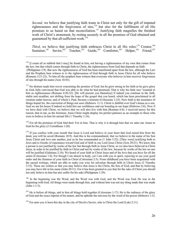*Second,* we believe that justifying faith trusts in Christ not only for the gift of imputed righteousness and the forgiveness of sins, $176$  but also for the fulfillment of all His promises to us based on that reconciliation.<sup>177</sup> Justifying faith magnifies the finished work of Christ's atonement, by resting securely in all the promises of God obtained and guaranteed by that all-sufficient work.<sup>178</sup>

Third, we believe that justifying faith embraces Christ in all His roles:<sup>179</sup> Creator,<sup>180</sup> Sustainer,<sup>181</sup> Savior,<sup>182</sup> Teacher,<sup>183</sup> Guide,<sup>184</sup> Comforter,<sup>185</sup> Helper,<sup>186</sup> Friend,<sup>187</sup>

 $\overline{a}$ 

 $178$  For all the promises of God find their Yes in him. That is why it is through him that we utter our Amen to God for his glory (2 Corinthians 1:20).

<sup>180</sup> In the beginning was the Word, and the Word was with God, and the Word was God. He was in the beginning with God. All things were made through him, and without him was not any thing made that was made (John 1:1-3).

 $181$  He is before all things, and in him all things hold together (Colossians 1:17). He is the radiance of the glory of God and the exact imprint of his nature, and he upholds the universe by the word of his power (Hebrews 1:3).

 $182$  For unto you is born this day in the city of David a Savior, who is Christ the Lord (Luke 2:11).

 $176$  [I count all as rubbish that I may] be found in him, not having a righteousness of my own that comes from the law, but that which comes through faith in Christ, the righteousness from God that depends on faith- (Philippians 3:9). But now the righteousness of God has been manifested apart from the law, although the Law and the Prophets bear witness to it- the righteousness of God through faith in Jesus Christ for all who believe (Romans 3:21-22). To him all the prophets bear witness that everyone who believes in him receives forgiveness of sins through his name (Acts 10:43).

 $177$  No distrust made him waver concerning the promise of God, but he grew strong in his faith as he gave glory to God, fully convinced that God was able to do what he had promised. That is why his faith was "counted to him as righteousness (Romans 4:20-22). [He will present you blameless] if indeed you continue in the faith, stable and steadfast, not shifting from the hope of the gospel that you heard, which has been proclaimed in all creation under heaven, and of which I, Paul, became a minister (Colossians 1:23). Now faith is the assurance of things hoped for, the conviction of things not seen (Hebrews 11:1). Christ is faithful over God's house as a son. And we are his house if indeed we hold fast our confidence and our boasting in our hope (Hebrews 3:6). Now if we have died with Christ, we believe that we will also live with him (Romans 6:8). I received mercy for this reason, that in me, as the foremost, Jesus Christ might display his perfect patience as an example to those who were to believe in him for eternal life (1 Timothy 1:16).

<sup>&</sup>lt;sup>179</sup> If you confess with your mouth that Jesus is Lord and believe in your heart that God raised him from the dead, you will be saved (Romans 10:9). And this is his commandment, that we believe in the name of his Son Jesus Christ and love one another, just as he has commanded us (1 John 3:23). [They were] testifying both to Jews and to Greeks of repentance toward God and of faith in our Lord Jesus Christ (Acts 20:21). We know that a person is not justified by works of the law but through faith in Jesus Christ, so we also have believed in Christ Jesus, in order to be justified by faith in Christ and not by works of the law, because by works of the law no one will be justified (Galatians 2:16). We heard of your faith in Christ Jesus and of the love that you have for all the saints (Colossians 1:4). For though I am absent in body, yet I am with you in spirit, rejoicing to see your good order and the firmness of your faith in Christ (Colossians 2:5). From childhood you have been acquainted with the sacred writings, which are able to make you wise for salvation through faith in Christ Jesus (2 Timothy 3:15). These are written so that you may believe that Jesus is the Christ, the Son of God, and that by believing you may have life in his name (John 20:31). For it has been granted to you that for the sake of Christ you should not only believe in him but also suffer for his sake (Philippians 1:29).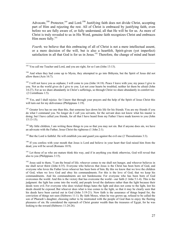Advocate,<sup>188</sup> Protector,<sup>189</sup> and Lord.<sup>190</sup> Justifying faith does not divide Christ, accepting part of Him and rejecting the rest. All of Christ is embraced by justifying faith, even before we are fully aware of, or fully understand, all that He will be for us. As more of Christ is truly revealed to us in His Word, genuine faith recognizes Christ and embraces Him more fully. $191$ 

*Fourth,* we believe that this embracing of all of Christ is not a mere intellectual assent, or a mere decision of the will, but is also a heartfelt, Spirit-given (yet imperfect) satisfaction in all that God is for us in Jesus.<sup>192</sup> Therefore, the change of mind and heart

<sup>186</sup> Yes, and I shall rejoice, for I know that through your prayers and the help of the Spirit of Jesus Christ this will turn out for my deliverance (Philippians 1:19).

 $187$  Greater love has no one than this, that someone lays down his life for his friends. You are my friends if you do what I command you. No longer do I call you servants, for the servant does not know what his master is doing; but I have called you friends, for all that I have heard from my Father I have made known to you (John 15:13-15).

<sup>188</sup> My little children, I am writing these things to you so that you may not sin. But if anyone does sin, we have an advocate with the Father, Jesus Christ the righteous (1 John 2:1).

<sup>189</sup> But the Lord is faithful. He will establish you and guard you against the evil one (2 Thessalonians 3:3).

<sup>190</sup> If you confess with your mouth that Jesus is Lord and believe in your heart that God raised him from the dead, you will be saved (Romans 10:9).

<sup>191</sup> Let those of us who are mature think this way, and if in anything you think otherwise, God will reveal that also to you (Philippians 3:15).

<sup>192</sup> Jesus said to them, "I am the bread of life; whoever comes to me shall not hunger, and whoever believes in me shall never thirst (John 6:35). Everyone who believes that Jesus is the Christ has been born of God, and everyone who loves the Father loves whoever has been born of him. By this we know that we love the children of God, when we love God and obey his commandments. For this is the love of God, that we keep his commandments. And his commandments are not burdensome. For everyone who has been born of God overcomes the world. And this is the victory that has overcome the world—our faith (1 John 5:1-4). This is the judgment: the light has come into the world, and people loved the darkness rather than the light because their deeds were evil. For everyone who does wicked things hates the light and does not come to the light, lest his deeds should be exposed. But whoever does what is true comes to the light, so that it may be clearly seen that his deeds have been carried out in God (John 3:19-21). Now faith is the assurance of things hoped for, the conviction of things not seen (Hebrews 11:1). By faith Moses, when he was grown up, refused to be called the son of Pharaoh's daughter, choosing rather to be mistreated with the people of God than to enjoy the fleeting pleasures of sin. He considered the reproach of Christ greater wealth than the treasures of Egypt, for he was looking to the reward (Hebrews 11:24-26).

<sup>&</sup>lt;sup>183</sup> You call me Teacher and Lord, and you are right, for so I am (John 13:13).

<sup>&</sup>lt;sup>184</sup> And when they had come up to Mysia, they attempted to go into Bithynia, but the Spirit of Jesus did not allow them (Acts 16:7).

 $185$  I will not leave you as orphans; I will come to you (John 14:18). Peace I leave with you; my peace I give to you. Not as the world gives do I give to you. Let not your hearts be troubled, neither let them be afraid (John 14:27). For as we share abundantly in Christ's sufferings, so through Christ we share abundantly in comfort too (2 Corinthians 1:5).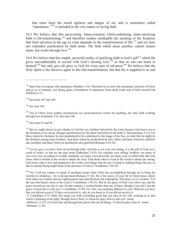that turns from the moral ugliness and danger of sin, and is sometimes called "repentance,"<sup>193</sup> is included in the very nature of saving faith.

10.3 We believe that this persevering, future-oriented, Christ-embracing, heart-satisfying faith is life-transforming,<sup>194</sup> and therefore renders intelligible the teaching of the Scripture that final salvation in the age to come depends on the transformation of life, $195$  and yet does not contradict justification by faith alone. The faith which alone justifies, cannot remain alone, but works through love.<sup>196</sup>

10.4 We believe that this simple, powerful reality of justifying faith is God's gift $197$  which He gives unconditionally in accord with God's electing love,<sup>198</sup> so that no one can boast in himself,<sup>199</sup> but only give all glory to God for every part of salvation.<sup>200</sup> We believe that the Holy Spirit is the decisive agent in this life-transformation, but that He is supplied to us and

 $194$  See notes 167 and 168.

<sup>195</sup> See note 166.

 $\overline{a}$ 

<sup>196</sup> For in Christ Jesus neither circumcision nor uncircumcision counts for anything, but only faith working through love (Galatians 5:6). See note 166.

 $197$  See notes 43 and 44.

<sup>198</sup> But we ought always to give thanks to God for you, brothers beloved by the Lord, because God chose you as the firstfruits to be saved, through sanctification by the Spirit and belief in the truth (2 Thessalonians 2:13). For those whom he foreknew he also predestined to be conformed to the image of his Son, in order that he might be the firstborn among many brothers. And those whom he predestined he also called, and those whom he called he also justified, and those whom he justified he also glorified (Romans 8:29-30).

 $199$  For by grace you have been saved through faith. And this is not your own doing; it is the gift of God, not a result of works, so that no one may boast (Ephesians 2:8-9). For consider your calling, brothers: not many of you were wise according to worldly standards, not many were powerful, not many were of noble birth. But God chose what is foolish in the world to shame the wise; God chose what is weak in the world to shame the strong; God chose what is low and despised in the world, even things that are not, to bring to nothing things that are, so that no human being might boast in the presence of God (1 Corinthians 1:26-29).

<sup>200</sup> For I will not venture to speak of anything except what Christ has accomplished through me to bring the Gentiles to obedience—by word and deed (Romans 15:18). He is the source of your life in Christ Jesus, whom God made our wisdom and our righteousness and sanctification and redemption. Therefore, as it is written, "Let the one who boasts, boast in the Lord (1 Corinthians 1:30-31). But by the grace of God I am what I am, and his grace toward me was not in vain. On the contrary, I worked harder than any of them, though it was not I, but the grace of God that is with me (1 Corinthians 15:10). For who sees anything different in you? What do you have that you did not receive? If then you received it, why do you boast as if you did not receive it

 (1 Corinthians 4:7)? [May He] equip you with everything good that you may do his will, working in us that which is pleasing in his sight, through Jesus Christ, to whom be glory forever and ever. Amen

 (Hebrews 13:21). For from him and through him and to him are all things. To him be glory forever. Amen (Romans 11:36).

<sup>&</sup>lt;sup>193</sup> Bear fruit in keeping with repentance (Matthew 3:8). Therefore let us leave the elementary doctrine of Christ and go on to maturity, not laying again a foundation of repentance from dead works and of faith toward God (Hebrews 6:1).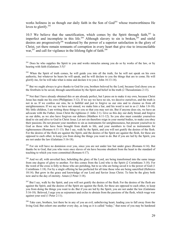works holiness in us though our daily faith in the Son of  $God<sup>201</sup>$  whose trustworthiness He loves to glorify.<sup>202</sup>

10.5 We believe that the sanctification, which comes by the Spirit through faith, $203$  is imperfect and incomplete in this life.<sup>204</sup> Although slavery to sin is broken,<sup>205</sup> and sinful desires are progressively<sup>206</sup> weakened by the power of a superior satisfaction in the glory of Christ, yet there remain remnants of corruption in every heart that give rise to irreconcilable war,<sup>207</sup> and call for vigilance in the lifelong fight of faith.<sup>208</sup>

 $\overline{a}$ 

<sup>203</sup> But we ought always to give thanks to God for you, brothers beloved by the Lord, because God chose you as the firstfruits to be saved, through sanctification by the Spirit and belief in the truth (2 Thessalonians 2:13).

<sup>204</sup> Not that I have already obtained this or am already perfect, but I press on to make it my own, because Christ Jesus has made me his own (Philippians 3:12). If we say we have no sin, we deceive ourselves, and the truth is not in us. If we confess our sins, he is faithful and just to forgive us our sins and to cleanse us from all unrighteousness. If we say we have not sinned, we make him a liar, and his word is not in us (1 John 1:8-10). My little children, I am writing these things to you so that you may not sin. But if anyone does sin, we have an advocate with the Father, Jesus Christ the righteous (1 John 2:1). Give us this day our daily bread, and forgive us our debts, as we also have forgiven our debtors (Matthew 6:11-12). So you also must consider yourselves dead to sin and alive to God in Christ Jesus. Let not sin therefore reign in your mortal bodies, to make you obey their passions. Do not present your members to sin as instruments for unrighteousness, but present yourselves to God as those who have been brought from death to life, and your members to God as instruments for righteousness (Romans 6:11-13). But I say, walk by the Spirit, and you will not gratify the desires of the flesh. For the desires of the flesh are against the Spirit, and the desires of the Spirit are against the flesh, for these are opposed to each other, to keep you from doing the things you want to do. But if you are led by the Spirit, you are not under the law (Galatians 5:16-18).

 $^{205}$  For sin will have no dominion over you, since you are not under law but under grace (Romans 6:14). But thanks be to God, that you who were once slaves of sin have become obedient from the heart to the standard of teaching to which you were committed (Romans 6:17).

<sup>206</sup> And we all, with unveiled face, beholding the glory of the Lord, are being transformed into the same image from one degree of glory to another. For this comes from the Lord who is the Spirit (2 Corinthians 3:18). For the word of the cross is folly to those who are perishing, but to us who are being saved it is the power of God (1 Corinthians 1:18). For by a single offering he has perfected for all time those who are being sanctified (Hebrews 10:14). But grow in the grace and knowledge of our Lord and Savior Jesus Christ. To him be the glory both now and to the day of eternity. Amen (2 Peter 3:18).

 $^{207}$  But I say, walk by the Spirit, and you will not gratify the desires of the flesh. For the desires of the flesh are against the Spirit, and the desires of the Spirit are against the flesh, for these are opposed to each other, to keep you from doing the things you want to do. But if you are led by the Spirit, you are not under the law (Galatians 5:16-18). Beloved, I urge you as sojourners and exiles to abstain from the passions of the flesh, which wage war against your soul (1 Peter 2:11).

 $^{208}$  Take care, brothers, lest there be in any of you an evil, unbelieving heart, leading you to fall away from the living God. But exhort one another every day, as long as it is called "today," that none of you may be hardened

<sup>&</sup>lt;sup>201</sup> Does he who supplies the Spirit to you and works miracles among you do so by works of the law, or by hearing with faith (Galatians 3:5)?

<sup>&</sup>lt;sup>202</sup> When the Spirit of truth comes, he will guide you into all the truth, for he will not speak on his own authority, but whatever he hears he will speak, and he will declare to you the things that are to come. He will glorify me, for he will take what is mine and declare it to you ( John 16:13-14).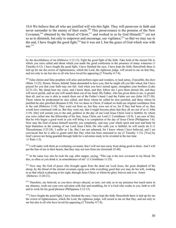10.6 We believe that all who are justified will win this fight. They will persevere in faith and never surrender to the enemy of their souls.<sup>209</sup> This perseverance is the promise of the New Covenant,<sup>210</sup> obtained by the blood of Christ,<sup>211</sup> and worked in us by God Himself,<sup>212</sup> yet not so as to diminish, but only to empower and encourage, our vigilance;<sup>213</sup> so that we may say in the end, I have fought the good fight,  $2^{14}$  but it was not I, but the grace of God which was with me.<sup>215</sup>

 $^{209}$  False christs and false prophets will arise and perform signs and wonders, to lead astray, if possible, the elect (Mark 13:22). Simon, Simon, behold, Satan demanded to have you, that he might sift you like wheat, but I have prayed for you that your faith may not fail. And when you have turned again, strengthen your brothers (Luke 22:31-32). My sheep hear my voice, and I know them, and they follow me. I give them eternal life, and they will never perish, and no one will snatch them out of my hand. My Father, who has given them to me, is greater than all, and no one is able to snatch them out of the Father's hand. I and the Father are one (John 10:27-30). Those whom he predestined he also called, and those whom he called he also justified, and those whom he justified he also glorified (Romans 8:30). For we share in Christ, if indeed we hold our original confidence firm to the end (Hebrews 3:14). They went out from us, but they were not of us; for if they had been of us, they would have continued with us. But they went out, that it might become plain that they all are not of us (1 John 2:19). [He] will sustain you to the end, guiltless in the day of our Lord Jesus Christ. God is faithful, by whom you were called into the fellowship of his Son, Jesus Christ our Lord (1 Corinthians 1:8-9). I am sure of this, that he who began a good work in you will bring it to completion at the day of Jesus Christ (Philippians 1:6). Now may the God of peace himself sanctify you completely, and may your whole spirit and soul and body be kept blameless at the coming of our Lord Jesus Christ. He who calls you is faithful; he will surely do it (1 Thessalonians 5:23-24). I suffer as I do. But I am not ashamed, for I know whom I have believed, and I am convinced that he is able to guard until that Day what has been entrusted to me (2 Timothy 1:12). [You] by God's power are being guarded through faith for a salvation ready to be revealed in the last time (1 Peter 1:5).

 $^{210}$  I will make with them an everlasting covenant, that I will not turn away from doing good to them. And I will put the fear of me in their hearts, that they may not turn from me (Jeremiah 32:40).

<sup>211</sup> In the same way also he took the cup, after supper, saying, "This cup is the new covenant in my blood. Do this, as often as you drink it, in remembrance of me" (1 Corinthians 11:25).

<sup>212</sup> Now may the God of peace who brought again from the dead our Lord Jesus, the great shepherd of the sheep, by the blood of the eternal covenant, equip you with everything good that you may do his will, working in us that which is pleasing in his sight, through Jesus Christ, to whom be glory forever and ever. Amen (Hebrews 13:20-21).

<sup>213</sup> Therefore, my beloved, as you have always obeyed, so now, not only as in my presence but much more in my absence, work out your own salvation with fear and trembling, for it is God who works in you, both to will and to work for his good pleasure (Philippians 2:12-13).

 $^{214}$  I have fought the good fight, I have finished the race, I have kept the faith. Henceforth there is laid up for me the crown of righteousness, which the Lord, the righteous judge, will award to me on that Day, and not only to me but also to all who have loved his appearing (2 Timothy 4:7-8).

by the deceitfulness of sin (Hebrews 3:12-13). Fight the good fight of the faith. Take hold of the eternal life to which you were called and about which you made the good confession in the presence of many witnesses (1) Timothy 6:12). I have fought the good fight, I have finished the race, I have kept the faith. Henceforth there is laid up for me the crown of righteousness, which the Lord, the righteous judge, will award to me on that Day, and not only to me but also to all who have loved his appearing (2 Timothy 4:7-8).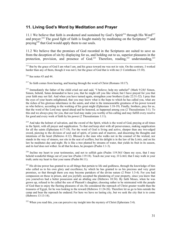# **11. Living God's Word by Meditation and Prayer**

11.1 We believe that faith is awakened and sustained by God's Spirit<sup>216</sup> through His Word<sup>217</sup> and prayer.<sup>218</sup> The good fight of faith is fought mainly by meditating on the Scriptures<sup>219</sup> and praying<sup> $220$ </sup> that God would apply them to our souls.

11.2 We believe that the promises of God recorded in the Scriptures are suited to save us from the deception of sin by displaying for us, and holding out to us, superior pleasures in the protection, provision, and presence of  $God.^{221}$  Therefore, reading,<sup>222</sup> understanding,<sup>223</sup>

<sup>215</sup> But by the grace of God I am what I am, and his grace toward me was not in vain. On the contrary, I worked harder than any of them, though it was not I, but the grace of God that is with me (1 Corinthians 15:10).

 $216$  See notes 43 and 44.

 $2^{17}$  So faith comes from hearing, and hearing through the word of Christ (Romans 10:17).

<sup>218</sup> Immediately the father of the child cried out and said, "I believe; help my unbelief" (Mark 9:24)! Simon, Simon, behold, Satan demanded to have you, that he might sift you like wheat, but I have prayed for you that your faith may not fail. And when you have turned again, strengthen your brothers (Luke 22:31-32). I pray that the eyes of your hearts enlightened, that you may know what is the hope to which he has called you, what are the riches of his glorious inheritance in the saints, and what is the immeasurable greatness of his power toward us who believe, according to the working of his great might (Ephesians 1:18-19). Finally, brothers, pray for us, that the word of the Lord may speed ahead and be honored, as happened among you (2 Thessalonians 3:1). To this end we always pray for you, that our God may make you worthy of his calling and may fulfill every resolve for good and every work of faith by his power (2 Thessalonians 1:11).

<sup>219</sup> And take the helmet of salvation, and the sword of the Spirit, which is the word of God, praying at all times in the Spirit, with all prayer and supplication. To that end keep alert with all perseverance, making supplication for all the saints (Ephesians 6:17-18). For the word of God is living and active, sharper than any two-edged sword, piercing to the division of soul and of spirit, of joints and of marrow, and discerning the thoughts and intentions of the heart (Hebrews 4:12). Blessed is the man who walks not in the counsel of the wicked, nor stands in the way of sinners, nor sits in the seat of scoffers; but his delight is in the law of the LORD, and on his law he meditates day and night. He is like a tree planted by streams of water, that yields its fruit in its season, and its leaf does not wither. In all that he does, he prospers (Psalm 1:1-3).

<sup>220</sup> Incline my heart to your testimonies, and not to selfish gain (Psalm 119:36)! Open my eyes, that I may behold wonderful things out of your law (Psalm 119:18). Teach me your way, O LORD; that I may walk in your truth; unite my heart to fear your name (Psalm 86:11).

 $^{221}$  His divine power has granted to us all things that pertain to life and godliness, through the knowledge of him who called us to his own glory and excellence, by which he has granted to us his precious and very great promises, so that through them you may become partakers of the divine nature (2 Peter 1:3-4). For you had compassion on those in prison, and you joyfully accepted the plundering of your property, since you knew that you yourselves had a better possession and an abiding one (Hebrews 10:34). By faith Moses, when he was grown up, refused to be called the son of Pharaoh's daughter, choosing rather to be mistreated with the people of God than to enjoy the fleeting pleasures of sin. He considered the reproach of Christ greater wealth than the treasures of Egypt, for he was looking to the reward (Hebrews 11:24-26). Therefore let us go to him outside the camp and bear the reproach he endured. For here we have no lasting city, but we seek the city that is to come (Hebrews 13:13-14).

 $222$  When you read this, you can perceive my insight into the mystery of Christ (Ephesians 3:4).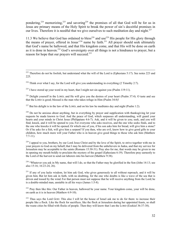pondering,<sup>224</sup> memorizing,<sup>225</sup> and savoring<sup>226</sup> the promises of all that God will be for us in Jesus are primary means of the Holy Spirit to break the power of sin's deceitful promises in our lives. Therefore it is needful that we give ourselves to such meditation day and night.<sup>227</sup>

11.3 We believe that God has ordained to bless<sup>228</sup> and use<sup>229</sup> His people for His glory through the means of prayer, offered in Jesus<sup>230</sup> name by faith.<sup>231</sup> All prayer should seek ultimately that God's name be hallowed, and that His kingdom come, and that His will be done on earth as it is done in heaven.<sup>232</sup> God's sovereignty over all things is not a hindrance to prayer, but a reason for hope that our prayers will succeed.<sup>233</sup>

 $^{225}$  I have stored up your word in my heart, that I might not sin against you (Psalm 119:11).

<sup>226</sup> Delight yourself in the LORD; and He will give you the desires of your heart (Psalm 37:4). O taste and see that the LORD is good; blessed is the man who takes refuge in Him (Psalm 34:8)!

<sup>227</sup> But his delight is in the law of the LORD, and on his law he meditates day and night (Psalm 1:2).

<sup>228</sup> Do not be anxious about anything, but in everything by prayer and supplication with thanksgiving let your requests be made known to God. And the peace of God, which surpasses all understanding, will guard your hearts and your minds in Christ Jesus (Philippians 4:6-7). Ask, and it will be given to you; seek, and you will find; knock, and it will be opened to you. For everyone who asks receives, and the one who seeks finds, and to the one who knocks it will be opened. Or which one of you, if his son asks him for bread, will give him a stone? Or if he asks for a fish, will give him a serpent? If you then, who are evil, know how to give good gifts to your children, how much more will your Father who is in heaven give good things to those who ask him (Matthew 7:7-11).

 $^{229}$  I appeal to you, brothers, by our Lord Jesus Christ and by the love of the Spirit, to strive together with me in your prayers to God on my behalf, that I may be delivered from the unbelievers in Judea, and that my service for Jerusalem may be acceptable to the saints (Romans 15:30-31). Pray also for me, that words may be given to me in opening my mouth boldly to proclaim the mystery of the gospel (Ephesians 6:19). Therefore pray earnestly to the Lord of the harvest to send out laborers into his harvest (Matthew 9:38).

<sup>230</sup> "Whatever you ask in My name, that will I do, so that the Father may be glorified in the Son (John 14:13; see also 15:16; 16:23-24, 26).

<sup>231</sup> If any of you lacks wisdom, let him ask God, who gives generously to all without reproach, and it will be given him. But let him ask in faith, with no doubting, for the one who doubts is like a wave of the sea that is driven and tossed by the wind. For that person must not suppose that he will receive anything from the Lord; he is a double-minded man, unstable in all his ways (James 1:5-8).

<sup>232</sup> Pray then like this: Our Father in heaven, hallowed be your name. Your kingdom come, your will be done, on earth as it is in heaven (Matthew 6:9-10).

<sup>233</sup> Thus says the Lord GOD: This also I will let the house of Israel ask me to do for them: to increase their people like a flock. Like the flock for sacrifices, like the flock at Jerusalem during her appointed feasts, so shall the waste cities be filled with flocks of people. Then they will know that I am the LORD (Ezekiel 36:37-38).

 $223$  Therefore do not be foolish, but understand what the will of the Lord is (Ephesians 5:17). See notes 223 and 225.

 $224$  Think over what I say, for the Lord will give you understanding in everything (2 Timothy 2:7).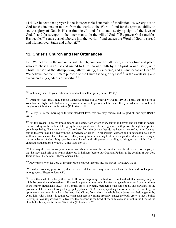11.4 We believe that prayer is the indispensable handmaid of meditation, as we cry out to God for the inclination to turn from the world to the Word,<sup>234</sup> and for the spiritual ability to see the glory of God in His testimonies,<sup>235</sup> and for a soul-satisfying sight of the love of God,<sup>236</sup> and for strength in the inner man to do the will of God.<sup>237</sup> By prayer God sanctifies His people,<sup>238</sup> sends gospel laborers into the world,<sup>239</sup> and causes the Word of God to spread and triumph over Satan and unbelief.<sup>240</sup>

#### **12. Christ's Church and Her Ordinances**

 $\overline{a}$ 

12.1 We believe in the one universal Church, composed of all those, in every time and place, who are chosen in Christ and united to Him through faith by the Spirit in one Body, with Christ Himself as the all-supplying, all-sustaining, all-supreme, and all-authoritative Head.<sup>241</sup> We believe that the ultimate purpose of the Church is to glorify  $God<sup>242</sup>$  in the everlasting and ever-increasing gladness of worship.<sup>243</sup>

<sup>236</sup> Satisfy us in the morning with your steadfast love, that we may rejoice and be glad all our days (Psalm 90:14).

 $^{237}$  For this reason I bow my knees before the Father, from whom every family in heaven and on earth is named, that according to the riches of his glory he may grant you to be strengthened with power through his Spirit in your inner being (Ephesians 3:14-16). And so, from the day we heard, we have not ceased to pray for you, asking that you may be filled with the knowledge of his will in all spiritual wisdom and understanding, so as to walk in a manner worthy of the Lord, fully pleasing to him, bearing fruit in every good work and increasing in the knowledge of God. May you be strengthened with all power, according to his glorious might, for all endurance and patience with joy (Colossians 1:9-11).

<sup>238</sup> And may the Lord make you increase and abound in love for one another and for all, as we do for you, so that he may establish your hearts blameless in holiness before our God and Father, at the coming of our Lord Jesus with all his saints (1 Thessalonians 3:12-13).

<sup>239</sup> Pray earnestly to the Lord of the harvest to send out laborers into his harvest (Matthew 9:38).

 $^{240}$  Finally, brothers, pray for us, that the word of the Lord may speed ahead and be honored, as happened among you (2 Thessalonians 3:1).

 $^{241}$  He is the head of the body, the church. He is the beginning, the firstborn from the dead, that in everything he might be preeminent (Colossians 1:18). And he put all things under his feet and gave him as head over all things to the church (Ephesians 1:22). The Gentiles are fellow heirs, members of the same body, and partakers of the promise in Christ Jesus through the gospel (Ephesians 3:6). Rather, speaking the truth in love, we are to grow up in every way into him who is the head, into Christ, from whom the whole body, joined and held together by every joint with which it is equipped, when each part is working properly, makes the body grow so that it builds itself up in love (Ephesians 4:15-16). For the husband is the head of the wife even as Christ is the head of the church, his body, and is himself its Savior (Ephesians 5:23).

 $234$  Incline my heart to your testimonies, and not to selfish gain (Psalm 119:36)!

<sup>&</sup>lt;sup>235</sup> Open my eyes, that I may behold wondrous things out of your law (Psalm 119:18). I pray that the eyes of your hearts enlightened, that you may know what is the hope to which he has called you, what are the riches of his glorious inheritance in the saints (Ephesians 1:18).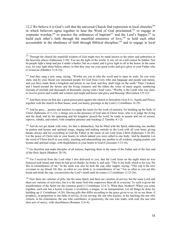12.2 We believe it is God's will that the universal Church find expression in local churches<sup>244</sup> in which believers agree together to hear the Word of God proclaimed,<sup>245</sup> to engage in corporate worship,<sup>246</sup> to practice the ordinances of baptism<sup>247</sup> and the Lord's Supper,<sup>248</sup> to build each other's faith through the manifold ministries of love,  $249$  to hold each other accountable in the obedience of faith through Biblical discipline, $250$  and to engage in local

<sup>243</sup> And they sang a new song, saying, "Worthy are you to take the scroll and to open its seals, for you were slain, and by your blood you ransomed people for God from every tribe and language and people and nation, and you have made them a kingdom and priests to our God, and they shall reign on the earth." Then I looked, and I heard around the throne and the living creatures and the elders the voice of many angels, numbering myriads of myriads and thousands of thousands, saying with a loud voice, "Worthy is the Lamb who was slain, to receive power and wealth and wisdom and might and honor and glory and blessing! (Revelation 5:9-12)!

 $^{244}$  And there arose on that day a great persecution against the church in Jerusalem (Acts 8:1). Aquila and Prisca, together with the church in their house, send you hearty greetings in the Lord (1 Corinthians 16:19).

<sup>245</sup> And he gave... pastors and teachers, to equip the saints for the work of ministry, for building up the body of Christ (Ephesians 4:11-12). I charge you in the presence of God and of Christ Jesus, who is to judge the living and the dead, and by his appearing and his kingdom: preach the word; be ready in season and out of season; reprove, rebuke, and exhort, with complete patience and teaching (2 Timothy 4:1-2).

<sup>246</sup> And do not get drunk with wine, for that is debauchery, but be filled with the Spirit, addressing one another in psalms and hymns and spiritual songs, singing and making melody to the Lord with all your heart, giving thanks always and for everything to God the Father in the name of our Lord Jesus Christ (Ephesians 5:18-20). Let the peace of Christ rule in your hearts, to which indeed you were called in one body. And be thankful. Let the word of Christ dwell in you richly, teaching and admonishing one another in all wisdom, singing psalms and hymns and spiritual songs, with thankfulness in your hearts to God (Colossians 3:15-16).

 $247$  Go therefore and make disciples of all nations, baptizing them in the name of the Father and of the Son and of the Holy Spirit (Matthew 28:19).

<sup>248</sup> For I received from the Lord what I also delivered to you, that the Lord Jesus on the night when he was betrayed took bread, and when he had given thanks, he broke it, and said, "This is my body which is for you. Do this in remembrance of me." In the same way also he took the cup, after supper, saying, "This cup is the new covenant in my blood. Do this, as often as you drink it, in remembrance of me." For as often as you eat this bread and drink the cup, you proclaim the Lord's death until he comes (1 Corinthians 11:23-26).

<sup>249</sup> Now there are varieties of gifts, but the same Spirit; and there are varieties of service, but the same Lord; and there are varieties of activities, but it is the same God who empowers them all in everyone. To each is given the manifestation of the Spirit for the common good (1 Corinthians 12:4-7). What then, brothers? When you come together, each one has a hymn, a lesson, a revelation, a tongue, or an interpretation. Let all things be done for building up (1 Corinthians 14:26). Having gifts that differ according to the grace given to us, let us use them: if prophecy, in proportion to our faith; if service, in our serving; the one who teaches, in his teaching; the one who exhorts, in his exhortation; the one who contributes, in generosity; the one who leads, with zeal; the one who does acts of mercy, with cheerfulness (Romans 12:6-8).

<sup>&</sup>lt;sup>242</sup> Through the church the manifold wisdom of God might now be made known to the rulers and authorities in the heavenly places (Ephesians 3:10). You are the light of the world. A city set on a hill cannot be hidden. Nor do people light a lamp and put it under a basket, but on a stand, and it gives light to all in the house.In the same way, let your light shine before others, so that they may see your good works and give glory to your Father who is in heaven (Matthew 5:14-16).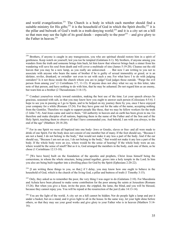and world evangelization.<sup>251</sup> The Church is a body in which each member should find a suitable ministry for His gifts;<sup>252</sup> it is the household of God in which the Spirit dwells;<sup>253</sup> it is the pillar and bulwark of God's truth in a truth-denying world;<sup>254</sup> and it is a city set on a hill so that men may see the light of its good deeds – especially to the poor<sup>255</sup> – and give glory to the Father in heaven  $256$ 

<sup>251</sup> Conduct yourselves wisely toward outsiders, making the best use of the time. Let your speech always be gracious, seasoned with salt, so that you may know how you ought to answer each person (Colossians 4:5-6). I hope to see you in passing as I go to Spain, and to be helped on my journey there by you, once I have enjoyed your company for a while (Romans 15:24). For they have gone out for the sake of the name, accepting nothing from the Gentiles. Therefore we ought to support people like these, that we may be fellow workers for the truth (3 John 7-8). And Jesus came and said to them, "All authority in heaven and on earth has been given to me. Go therefore and make disciples of all nations, baptizing them in the name of the Father and of the Son and of the Holy Spirit, teaching them to observe all that I have commanded you. And behold, I am with you always, to the end of the age" (Matthew 28:18-20).

<sup>252</sup> For in one Spirit we were all baptized into one body- Jews or Greeks, slaves or free- and all were made to drink of one Spirit. For the body does not consist of one member but of many.If the foot should say, "Because I am not a hand, I do not belong to the body," that would not make it any less a part of the body. And if the ear should say, "Because I am not an eye, I do not belong to the body," that would not make it any less a part of the body. If the whole body were an eye, where would be the sense of hearing? If the whole body were an ear, where would be the sense of smell? But as it is, God arranged the members in the body, each one of them, as he chose (1 Corinthians 12:13-18).

<sup>253</sup> [We have been] built on the foundation of the apostles and prophets, Christ Jesus himself being the cornerstone, in whom the whole structure, being joined together, grows into a holy temple in the Lord. In him you also are being built together into a dwelling place for God by the Spirit (Ephesians 2:20-22).

 $254$  [I am writing these things to you, so that,] if I delay, you may know how one ought to behave in the household of God, which is the church of the living God, a pillar and buttress of truth (1 Timothy 3:15).

 $^{255}$  Only, they asked us to remember the poor, the very thing I was eager to do (Galatians 2:10). For Macedonia and Achaia have been pleased to make some contribution for the poor among the saints at Jerusalem (Romans 15:26). But when you give a feast, invite the poor, the crippled, the lame, the blind, and you will be blessed, because they cannot repay you. You will be repaid at the resurrection of the just (Luke 14:13-14).

 $^{256}$  You are the light of the world. A city set on a hill cannot be hidden. Nor do people light a lamp and put it under a basket, but on a stand, and it gives light to all in the house. In the same way, let your light shine before others, so that they may see your good works and give glory to your Father who is in heaven (Matthew 5:14- 16).

 $^{250}$  Brothers, if anyone is caught in any transgression, you who are spiritual should restore him in a spirit of gentleness. Keep watch on yourself, lest you too be tempted (Galatians 6:1). My brothers, if anyone among you wanders from the truth and someone brings him back, let him know that whoever brings back a sinner from his wandering will save his soul from death and will cover a multitude of sins (James 5:19-20). Cleanse out the old leaven that you may be a new lump, as you really are unleavened. . . . But now I am writing to you not to associate with anyone who bears the name of brother if he is guilty of sexual immorality or greed, or is an idolater, reviler, drunkard, or swindler- not even to eat with such a one. For what have I to do with judging outsiders? Is it not those inside the church whom you are to judge? God judges those outside. "Purge the evil person from among you" (1 Corinthians 5:7, 11-13). If anyone does not obey what we say in this letter, take note of that person, and have nothing to do with him, that he may be ashamed. Do not regard him as an enemy, but warn him as a brother (2 Thessalonians 3:14-15).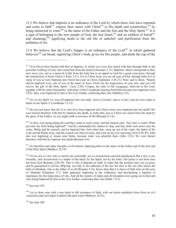12.3 We believe that baptism is an ordinance of the Lord by which those who have repented and come to faith<sup>257</sup> express their union with Christ<sup>258</sup> in His death and resurrection,<sup>259</sup> by being immersed in water<sup>260</sup> in the name of the Father and the Son and the Holy Spirit.<sup>261</sup> It is a sign of belonging to the new people of God, the true Israel,<sup>262</sup> and an emblem of burial<sup>263</sup> and cleansing,  $2^{54}$  signifying death to the old life of unbelief, and purification from the pollution of sin.

12.4 We believe that the Lord's Supper is an ordinance of the Lord<sup>265</sup> in which gathered believers<sup>266</sup> eat bread, signifying Christ's body given for His people, and drink the cup of the

<sup>258</sup> For in one Spirit we were all baptized into one body- Jews or Greeks, slaves or free- and all were made to drink of one Spirit (1 Corinthians 12:13).

<sup>259</sup> Do you not know that all of us who have been baptized into Christ Jesus were baptized into his death? We were buried therefore with him by baptism into death, in order that, just as Christ was raised from the dead by the glory of the Father, we too might walk in newness of life (Romans 6:3-4).

<sup>260</sup> As they were going along the road they came to some water, and the eunuch said, "See, here is water! What prevents me from being baptized?" And he commanded the chariot to stop, and they both went down into the water, Philip and the eunuch, and he baptized him. And when they came up out of the water, the Spirit of the Lord carried Philip away, and the eunuch saw him no more, and went on his way rejoicing (Acts 8:36-39). John also was baptizing at Aenon near Salim, because water was plentiful there (John 3:23). We were buried therefore with him by baptism into death (Romans 6:4).

<sup>261</sup> Go therefore and make disciples of all nations, baptizing them in the name of the Father and of the Son and of the Holy Spirit (Matthew 28:19).

<sup>262</sup> For no one is a Jew who is merely one outwardly, nor is circumcision outward and physical. But a Jew is one inwardly, and circumcision is a matter of the heart, by the Spirit, not by the letter. His praise is not from man but from God (Romans 2:28-29). That is why it depends on faith, in order that the promise may rest on grace and be guaranteed to all his offspring- not only to the adherent of the law but also to the one who shares the faith of Abraham, who is the father of us all (Romans 4:16). Know then that it is those of faith who are the sons of Abraham (Galatians 3:7). John appeared, baptizing in the wilderness and proclaiming a baptism of repentance for the forgiveness of sins. And all the country of Judea and all Jerusalem were going out to him and were being baptized by him in the river Jordan, confessing their sins (Mark 1:4-5).

 $263$  See note 259.

 $\overline{a}$ 

<sup>264</sup> Let us draw near with a true heart in full assurance of faith, with our hearts sprinkled clean from an evil conscience and our bodies washed with pure water (Hebrews 10:22).

265 See note 248.

 $257$  [You Have] been buried with him in baptism, in which you were also raised with him through faith in the powerful working of God, who raised him from the dead (Colossians 2:12). Baptism, which corresponds to this, now saves you, not as a removal of dirt from the body but as an appeal to God for a good conscience, through the resurrection of Jesus Christ (1 Peter 3:21). For in Christ Jesus you are all sons of God, through faith. For as many of you as were baptized into Christ have put on Christ (Galatians 3:26-27). Peter said to them, "Repent and be baptized every one of you in the name of Jesus Christ for the forgiveness of your sins, and you will receive the gift of the Holy Spirit." (Acts 2:38). Crispus, the ruler of the synagogue, believed in the Lord, together with his entire household. And many of the Corinthians hearing Paul believed and were baptized (Acts 18:8). They were baptized by him in the river Jordan, confessing their sins (Matthew 3:6).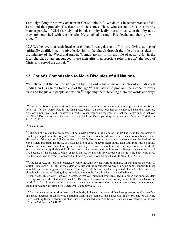Lord, signifying the New Covenant in Christ's blood.<sup>267</sup> We do this in remembrance of the Lord, and thus proclaim His death until He comes. Those who eat and drink in a worthy manner partake of Christ's body and blood, not physically, but spiritually, in that, by faith, they are nourished with the benefits He obtained through His death, and thus grow in  $\text{grace.}^{268}$ 

12.5 We believe that each local church should recognize and affirm the divine calling of spiritually qualified men to give leadership to the church through the role of pastor-elder in the ministry of the Word and prayer. Women are not to fill the role of pastor-elder in the local church, but are encouraged to use their gifts in appropriate roles that edify the body of Christ and spread the gospel. 269

#### **13. Christ's Commission to Make Disciples of All Nations**

We believe that the commission given by the Lord Jesus to make disciples of all nations is binding on His Church to the end of the age.<sup>270</sup> This task is to proclaim the Gospel to every tribe and tongue and people and nation, $271$  baptizing them, teaching them the words and ways

<sup>269</sup> And he gave... pastors and teachers, to equip the saints for the work of ministry, for building up the body of Christ (Ephesians 4:11-12). Let the elders who rule well be considered worthy of double honor, especially those who labor in preaching and teaching (1 Timothy 5:17). When they had appointed elders for them in every church, with prayer and fasting they committed them to the Lord in whom they had believed.

<sup>&</sup>lt;sup>266</sup> But in the following instructions I do not commend you, because when you come together it is not for the better but for the worse. For, in the first place, when you come together as a church, I hear that there are divisions among you. And I believe it in part….When you come together, it is not the Lord's supper that you eat. What! Do you not have houses to eat and drink in? Or do you despise the church of God (1 Corinthians 11:17-20, 22)?

<sup>267</sup> See note 248.

<sup>&</sup>lt;sup>268</sup> The cup of blessing that we bless, is it not a participation in the blood of Christ? The bread that we break, is it not a participation in the body of Christ? Because there is one bread, we who are many are one body, for we all partake of the one bread (1 Corinthians 10:16-17). Truly, truly, I say to you, unless you eat the flesh of the Son of Man and drink his blood, you have no life in you. Whoever feeds on my flesh and drinks my blood has eternal life, and I will raise him up on the last day. For my flesh is true food, and my blood is true drink. Whoever feeds on my flesh and drinks my blood abides in me, and I in him. As the living Father sent me, and I live because of the Father, so whoever feeds on me, he also will live because of me. It is the Spirit who gives life; the flesh is of no avail. The words that I have spoken to you are spirit and life (John 6:53-57, 63).

 <sup>(</sup>Acts 14:23). This is why I left you in Crete, so that you might put what remained into order, and appoint elders in every town as I directed you (Titus 1:5). But we will devote ourselves to prayer and to the ministry of the word (Acts 6:4). I do not permit a woman to teach or to exercise authority over a man; rather, she is to remain quiet. For Adam was formed first, then Eve (1 Timothy 2:12-13).

<sup>&</sup>lt;sup>270</sup> And Jesus came and said to them, "All authority in heaven and on earth has been given to me. Go therefore and make disciples of all nations, baptizing them in the name of the Father and of the Son and of the Holy Spirit, teaching them to observe all that I have commanded you. And behold, I am with you always, to the end of the age" (Matthew 28:18-20).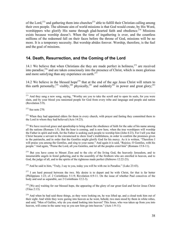of the Lord,<sup>272</sup> and gathering them into churches<sup>273</sup> able to fulfill their Christian calling among their own people. The ultimate aim of world missions is that God would create, by His Word, worshippers who glorify His name through glad-hearted faith and obedience.<sup>274</sup> Missions exists because worship doesn't. When the time of ingathering is over, and the countless millions of the redeemed fall on their faces before the throne of God, missions will be no more. It is a temporary necessity. But worship abides forever. Worship, therefore, is the fuel and the goal of missions.

#### **14. Death, Resurrection, and the Coming of the Lord**

14.1 We believe that when Christians die they are made perfect in holiness,<sup>275</sup> are received into paradise,<sup>276</sup> and are taken consciously into the presence of Christ, which is more glorious and more satisfying than any experience on earth.<sup>277</sup>

14.2 We believe in the blessed hope<sup>278</sup> that at the end of the age Jesus Christ will return to this earth personally,<sup>279</sup> visibly,<sup>280</sup> physically,<sup>281</sup> and suddenly<sup>282</sup> in power and great glory;<sup>283</sup>

<sup>272</sup> See note 270.

<sup>273</sup> When they had appointed elders for them in every church, with prayer and fasting they committed them to the Lord in whom they had believed (Acts 14:23).

<sup>274</sup> We have received grace and apostleship to bring about the obedience of faith for the sake of his name among all the nations (Romans 1:5). But the hour is coming, and is now here, when the true worshipers will worship the Father in spirit and truth, for the Father is seeking such people to worship him (John 4:23). For I tell you that Christ became a servant to the circumcised to show God's truthfulness, in order to confirm the promises given to the patriarchs, and in order that the Gentiles might glorify God for his mercy. As it is written, "Therefore I will praise you among the Gentiles, and sing to your name." And again it is said, "Rejoice, O Gentiles, with his people." And again, "Praise the Lord, all you Gentiles, and let all the peoples extol him" (Romans 15:8-11).

 $275$  But you have come to Mount Zion and to the city of the living God, the heavenly Jerusalem, and to innumerable angels in festal gathering, and to the assembly of the firstborn who are enrolled in heaven, and to God, the judge of all, and to the spirits of the righteous made perfect (Hebrews 12:22-23).

<sup>276</sup> And he said to him, "Truly, I say to you, today you will be with me in Paradise." (Luke 23:43).

 $277$  I am hard pressed between the two. My desire is to depart and be with Christ, for that is far better (Philippians 1:23; cf. 2 Corinthians 5:1-9; Revelation 6:9-11. On the issue of whether Paul conceives of the body and soul as separable, see 2 Corinthians 12:2-3).

<sup>278</sup> [We are] waiting for our blessed hope, the appearing of the glory of our great God and Savior Jesus Christ (Titus 2:13).

 $279$  And when he had said these things, as they were looking on, he was lifted up, and a cloud took him out of their sight. And while they were gazing into heaven as he went, behold, two men stood by them in white robes, and said, "Men of Galilee, why do you stand looking into heaven? This Jesus, who was taken up from you into heaven, will come in the same way as you saw him go into heaven." (Acts 1:9-11).

<sup>&</sup>lt;sup>271</sup> And they sang a new song, saying, "Worthy are you to take the scroll and to open its seals, for you were slain, and by your blood you ransomed people for God from every tribe and language and people and nation (Revelation 5:9).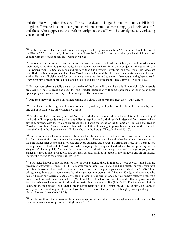and that He will gather His elect,<sup>284</sup> raise the dead,<sup>285</sup> judge the nations, and establish His kingdom.<sup>286</sup> We believe that the righteous will enter into the everlasting joy of their Master,<sup>287</sup> and those who suppressed the truth in unrighteousness<sup>288</sup> will be consigned to everlasting conscious misery.289

<sup>280</sup> But he remained silent and made no answer. Again the high priest asked him, "Are you the Christ, the Son of the Blessed?" And Jesus said, "I am, and you will see the Son of Man seated at the right hand of Power, and coming with the clouds of heaven" (Mark 14:61-62).

 $\overline{a}$ 

 $^{281}$  But our citizenship is in heaven, and from it we await a Savior, the Lord Jesus Christ, who will transform our lowly body to be like his glorious body, by the power that enables him even to subject all things to himself (Philippians 3:20-21). See my hands and my feet, that it is I myself. Touch me, and see. For a spirit does not have flesh and bones as you see that I have." And when he had said this, he showed them his hands and his feet. And while they still disbelieved for joy and were marveling, he said to them, "Have you anything here to eat?" They gave him a piece of broiled fish, and he took it and ate it before them (Luke 24:39-43). See note 278.

 $282$  For you yourselves are fully aware that the day of the Lord will come like a thief in the night. While people are saying, "There is peace and security," then sudden destruction will come upon them as labor pains come upon a pregnant woman, and they will not escape (1 Thessalonians 5:2-3).

<sup>283</sup> And then they will see the Son of Man coming in a cloud with power and great glory (Luke 21:27).

 $284$  He will send out his angels with a loud trumpet call, and they will gather his elect from the four winds, from one end of heaven to the other (Matthew 24:31).

 $^{285}$  For this we declare to you by a word from the Lord, that we who are alive, who are left until the coming of the Lord, will not precede those who have fallen asleep. For the Lord himself will descend from heaven with a cry of command, with the voice of an archangel, and with the sound of the trumpet of God. And the dead in Christ will rise first. Then we who are alive, who are left, will be caught up together with them in the clouds to meet the Lord in the air, and so we will always be with the Lord (1 Thessalonians 4:15-17).

<sup>286</sup> For as in Adam all die, so also in Christ shall all be made alive. But each in his own order: Christ the firstfruits, then at his coming those who belong to Christ. Then comes the end, when he delivers the kingdom to God the Father after destroying every rule and every authority and power (1 Corinthians 15:22-24). I charge you in the presence of God and of Christ Jesus, who is to judge the living and the dead, and by his appearing and his kingdom (2 Timothy 4:1). You are those who have stayed with me in my trials, and I assign to you, as my Father assigned to me, a kingdom, that you may eat and drink at my table in my kingdom and sit on thrones judging the twelve tribes of Israel (Luke 22:28-30).

 $^{287}$  You make known to me the path of life; in your presence there is fullness of joy; at your right hand are pleasures forevermore (Psalm 16:11). His master said to him, 'Well done, good and faithful servant. You have been faithful over a little; I will set you over much. Enter into the joy of your master.' (Matthew 25:23). These will go away into eternal punishment, but the righteous into eternal life (Matthew 25:46). And everyone who has left houses or brothers or sisters or father or mother or children or lands, for my name's sake, will receive a hundredfold and will inherit eternal life (Matthew 19:29). For God so loved the world, that he gave his only Son, that whoever believes in him should not perish but have eternal life (John 3:16). For the wages of sin is death, but the free gift of God is eternal life in Christ Jesus our Lord (Romans 6:23). Now to him who is able to keep you from stumbling and to present you blameless before the presence of his glory with great joy… be glory…forever. Amen (Jude 24-25).

<sup>288</sup> For the wrath of God is revealed from heaven against all ungodliness and unrighteousness of men, who by their unrighteousness suppress the truth (Romans 1:18).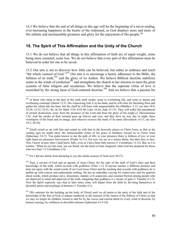14.3 We believe that the end of all things in this age will be the beginning of a never-ending, ever-increasing happiness in the hearts of the redeemed, as God displays more and more of His infinite and inexhaustible greatness and glory for the enjoyment of His people.<sup>290</sup>

# **15. The Spirit of This Affirmation and the Unity of the Church**

15.1 We do not believe that all things in this affirmation of faith are of equal weight, some being more essential, some less. We do not believe that every part of this affirmation must be believed in order for one to be saved.

15.2 Our aim is not to discover how little can be believed, but rather to embrace and teach "the whole counsel of God."291 Our aim is to encourage a hearty adherence to the Bible, the fullness of its truth,<sup>292</sup> and the glory of its Author. We believe Biblical doctrine stabilizes saints in the winds of confusion<sup>293</sup> and strengthens the church in her mission to meet the great systems of false religion and secularism. We believe that the supreme virtue of love is nourished by the strong meat of God-centered doctrine.<sup>294</sup> And we believe that a passion for

<sup>290</sup> [God] raised us up with him and seated us with him in the heavenly places in Christ Jesus, so that in the coming ages he might show the immeasurable riches of his grace in kindness toward us in Christ Jesus (Ephesians 2:6-7). You make known to me the path of life; in your presence there is fullness of joy; at your right hand are pleasures forevermore (Psalm 16:11). For now we see in a mirror dimly, but then face to face. Now I know in part; then I shall know fully, even as I have been fully known (1 Corinthians 13:12). But, as it is written, "What no eye has seen, nor ear heard, nor the heart of man imagined, what God has prepared for those who love him" (1 Corinthians 2:9).

 $^{291}$  For I did not shrink from declaring to you the whole counsel of God (Acts 20:27).

<sup>292</sup> Paul, a servant of God and an apostle of Jesus Christ, for the sake of the faith of God's elect and their knowledge of the truth, which accords with godliness (Titus 1:1); If anyone teaches a different doctrine and does not agree with the sound words of our Lord Jesus Christ and the teaching that accords with godliness, he is puffed up with conceit and understands nothing. He has an unhealthy craving for controversy and for quarrels about words, which produce envy, dissension, slander, evil suspicions, and constant friction among people who are depraved in mind and deprived of the truth, imagining that godliness is a means of gain (1 Timothy 6:3-5). Now the Spirit expressly says that in later times some will depart from the faith by devoting themselves to deceitful spirits and teachings of demons (1 Timothy 4:1).

<sup>293</sup> [We minister for the building up the body of Christ] until we all attain to the unity of the faith and of the knowledge of the Son of God, to mature manhood, to the measure of the stature of the fullness of Christ, so that we may no longer be children, tossed to and fro by the waves and carried about by every wind of doctrine, by human cunning, by craftiness in deceitful schemes (Ephesians 4:13-14).

<sup>&</sup>lt;sup>289</sup> of those who sleep in the dust of the earth shall awake, some to everlasting life, and some to shame and everlasting contempt (Daniel 12:2). His winnowing fork is in his hand, and he will clear his threshing floor and gather his wheat into the barn, but the chaff he will burn with unquenchable fire (Matthew 3:12; see also 18:8; 10:28; 12:32; 25:41, 46; 26:24; Mark 3:29; 9:43-48; Luke 16:26; Jude 12-13). They will suffer the punishment of eternal destruction, away from the presence of the Lord and from the glory of his might (2 Thessalonians 1:9). And the smoke of their torment goes up forever and ever, and they have no rest, day or night, these worshipers of the beast and its image, and whoever receives the mark of its name (Revelation 14:11; see also 19:3; 20:10).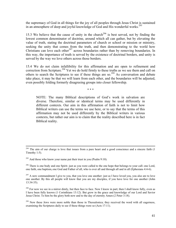the supremacy of God in all things for the joy of all peoples through Jesus Christ is sustained in an atmosphere of deep and joyful knowledge of God and His wonderful works.<sup>295</sup>

15.3 We believe that the cause of unity in the church<sup>296</sup> is best served, not by finding the lowest common denominator of doctrine, around which all can gather, but by elevating the value of truth, stating the doctrinal parameters of church or school or mission or ministry, seeking the unity that comes from the truth, and then demonstrating to the world how Christians can love each other<sup>297</sup> across boundaries rather than by removing boundaries. In this way, the importance of truth is served by the existence of doctrinal borders, and unity is served by the way we love others across those borders.

15.4 We do not claim infallibility for this affirmation and are open to refinement and correction from Scripture.<sup>298</sup> Yet we do hold firmly to these truths as we see them and call on others to search the Scriptures to see if these things are so.<sup>299</sup> As conversation and debate take place, it may be that we will learn from each other, and the boundaries will be adjusted, even possibly folding formerly disagreeing groups into closer fellowship.

\* \* \*

NOTE: The many Biblical descriptions of God's work in salvation are diverse. Therefore, similar or identical terms may be used differently in different contexts. Our aim in this affirmation of faith is not to limit how Biblical writers can use the terms we use here, or to say that the terms of this affirmation may not be used differently by the Biblical writers in various contexts, but rather our aim is to claim that the reality described here is in fact Biblical reality.

 $^{294}$  The aim of our charge is love that issues from a pure heart and a good conscience and a sincere faith (1) Timothy 1:5).

 $295$  And those who know your name put their trust in you (Psalm 9:10).

 $296$  There is one body and one Spirit- just as you were called to the one hope that belongs to your call- one Lord, one faith, one baptism, one God and Father of all, who is over all and through all and in all (Ephesians 4:4-6).

 $^{297}$  A new commandment I give to you, that you love one another: just as I have loved you, you also are to love one another. By this all people will know that you are my disciples, if you have love for one another (John 13:34-35).

 $^{298}$  For now we see in a mirror dimly, but then face to face. Now I know in part; then I shall know fully, even as I have been fully known (1 Corinthians 13:12). But grow in the grace and knowledge of our Lord and Savior Jesus Christ. To him be the glory both now and to the day of eternity Amen (2 Peter 3:18).

<sup>&</sup>lt;sup>299</sup> Now these Jews were more noble than those in Thessalonica; they received the word with all eagerness, examining the Scriptures daily to see if these things were so (Acts 17:11).